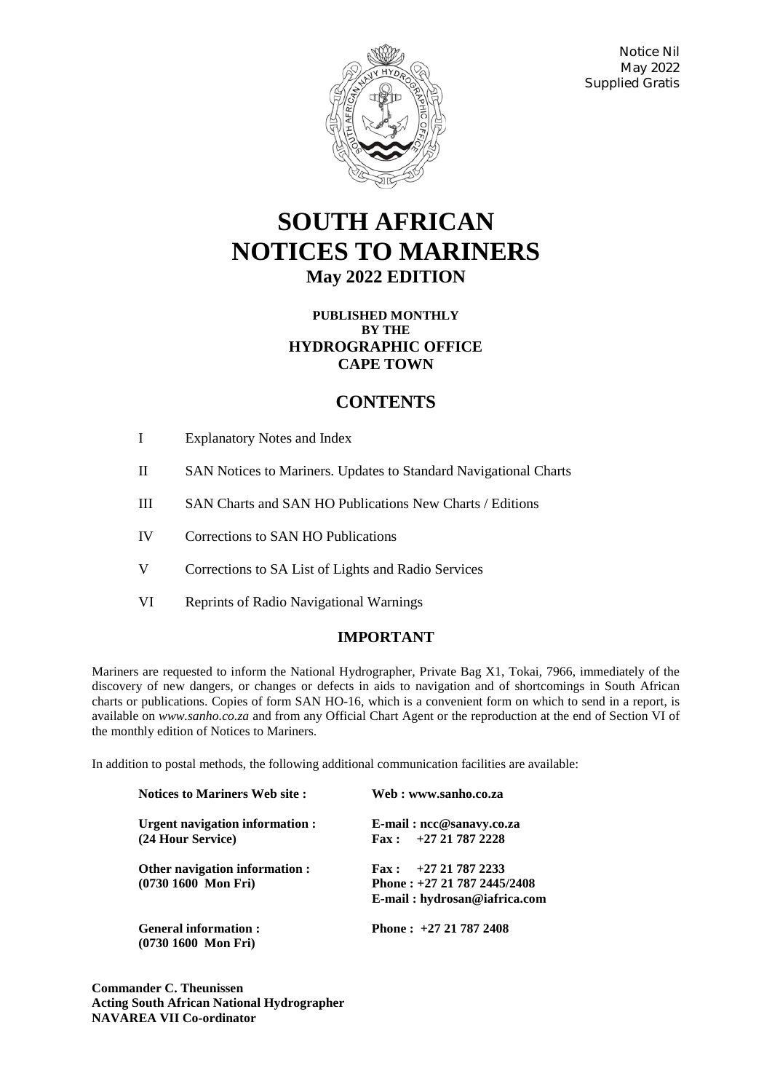

Notice Nil May 2022 Supplied Gratis

# **SOUTH AFRICAN NOTICES TO MARINERS May 2022 EDITION**

## **PUBLISHED MONTHLY BY THE HYDROGRAPHIC OFFICE CAPE TOWN**

## **CONTENTS**

- I Explanatory Notes and Index
- II SAN Notices to Mariners. Updates to Standard Navigational Charts
- III SAN Charts and SAN HO Publications New Charts / Editions
- IV Corrections to SAN HO Publications
- V Corrections to SA List of Lights and Radio Services
- VI Reprints of Radio Navigational Warnings

## **IMPORTANT**

Mariners are requested to inform the National Hydrographer, Private Bag X1, Tokai, 7966, immediately of the discovery of new dangers, or changes or defects in aids to navigation and of shortcomings in South African charts or publications. Copies of form SAN HO-16, which is a convenient form on which to send in a report, is available on *www.sanho.co.za* and from any Official Chart Agent or the reproduction at the end of Section VI of the monthly edition of Notices to Mariners.

In addition to postal methods, the following additional communication facilities are available:

| <b>Notices to Mariners Web site:</b>                         | Web : www.sanho.co.za                  |  |  |
|--------------------------------------------------------------|----------------------------------------|--|--|
| Urgent navigation information :                              | E-mail: ncc@sanavy.co.za               |  |  |
| (24 Hour Service)                                            | $\text{Fax}: \quad +27\ 21\ 787\ 2228$ |  |  |
| Other navigation information :                               | $\text{Fax}: \quad +27\ 21\ 787\ 2233$ |  |  |
| $(0730 1600$ Mon Fri)                                        | Phone: $+27$ 21 787 2445/2408          |  |  |
|                                                              | E-mail: hydrosan@iafrica.com           |  |  |
| <b>General information:</b><br>$(0730 1600 \text{ Mon Fri})$ | Phone: $+27217872408$                  |  |  |

**Commander C. Theunissen Acting South African National Hydrographer NAVAREA VII Co-ordinator**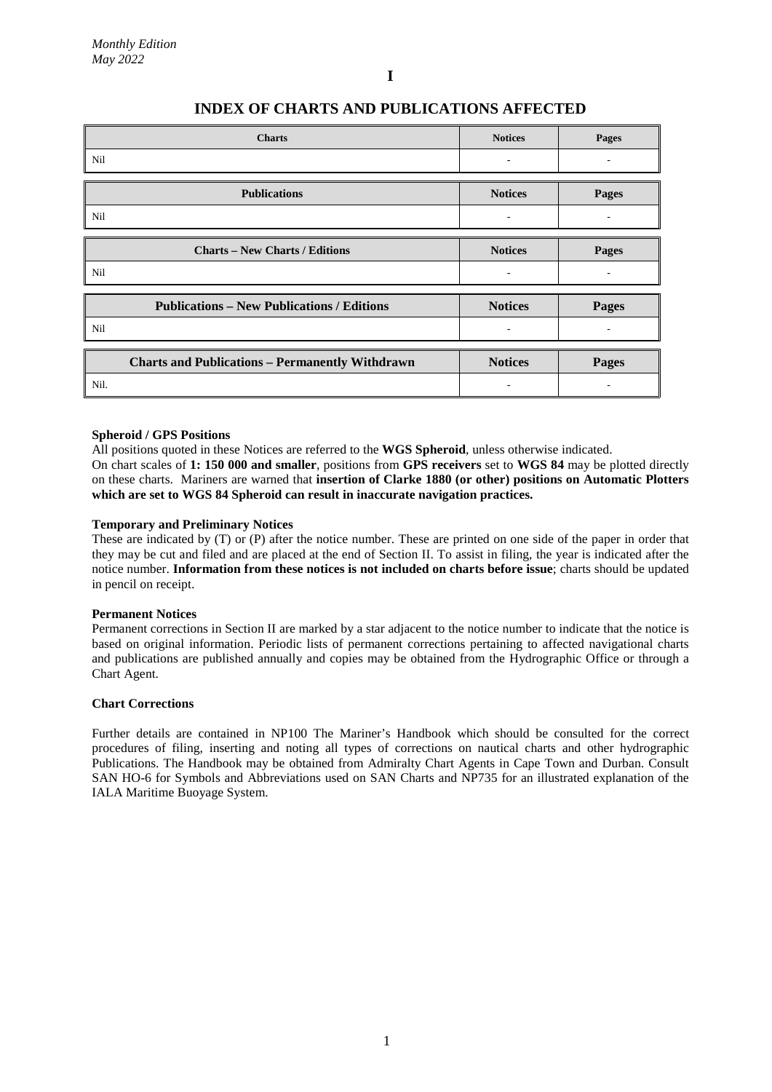## **INDEX OF CHARTS AND PUBLICATIONS AFFECTED**

| <b>Charts</b>                                          | <b>Notices</b> | <b>Pages</b> |
|--------------------------------------------------------|----------------|--------------|
| Nil                                                    | ۰              |              |
| <b>Publications</b>                                    | <b>Notices</b> | Pages        |
| Nil                                                    | ٠              |              |
| <b>Charts – New Charts / Editions</b>                  | <b>Notices</b> | Pages        |
| Nil                                                    |                |              |
| <b>Publications – New Publications / Editions</b>      | <b>Notices</b> | Pages        |
| Nil                                                    | ۰              |              |
| <b>Charts and Publications - Permanently Withdrawn</b> | <b>Notices</b> | Pages        |
| Nil.                                                   |                |              |

#### **Spheroid / GPS Positions**

All positions quoted in these Notices are referred to the **WGS Spheroid**, unless otherwise indicated.

On chart scales of **1: 150 000 and smaller**, positions from **GPS receivers** set to **WGS 84** may be plotted directly on these charts. Mariners are warned that **insertion of Clarke 1880 (or other) positions on Automatic Plotters which are set to WGS 84 Spheroid can result in inaccurate navigation practices.**

#### **Temporary and Preliminary Notices**

These are indicated by (T) or (P) after the notice number. These are printed on one side of the paper in order that they may be cut and filed and are placed at the end of Section II. To assist in filing, the year is indicated after the notice number. **Information from these notices is not included on charts before issue**; charts should be updated in pencil on receipt.

#### **Permanent Notices**

Permanent corrections in Section II are marked by a star adjacent to the notice number to indicate that the notice is based on original information. Periodic lists of permanent corrections pertaining to affected navigational charts and publications are published annually and copies may be obtained from the Hydrographic Office or through a Chart Agent.

#### **Chart Corrections**

Further details are contained in NP100 The Mariner's Handbook which should be consulted for the correct procedures of filing, inserting and noting all types of corrections on nautical charts and other hydrographic Publications. The Handbook may be obtained from Admiralty Chart Agents in Cape Town and Durban. Consult SAN HO-6 for Symbols and Abbreviations used on SAN Charts and NP735 for an illustrated explanation of the IALA Maritime Buoyage System.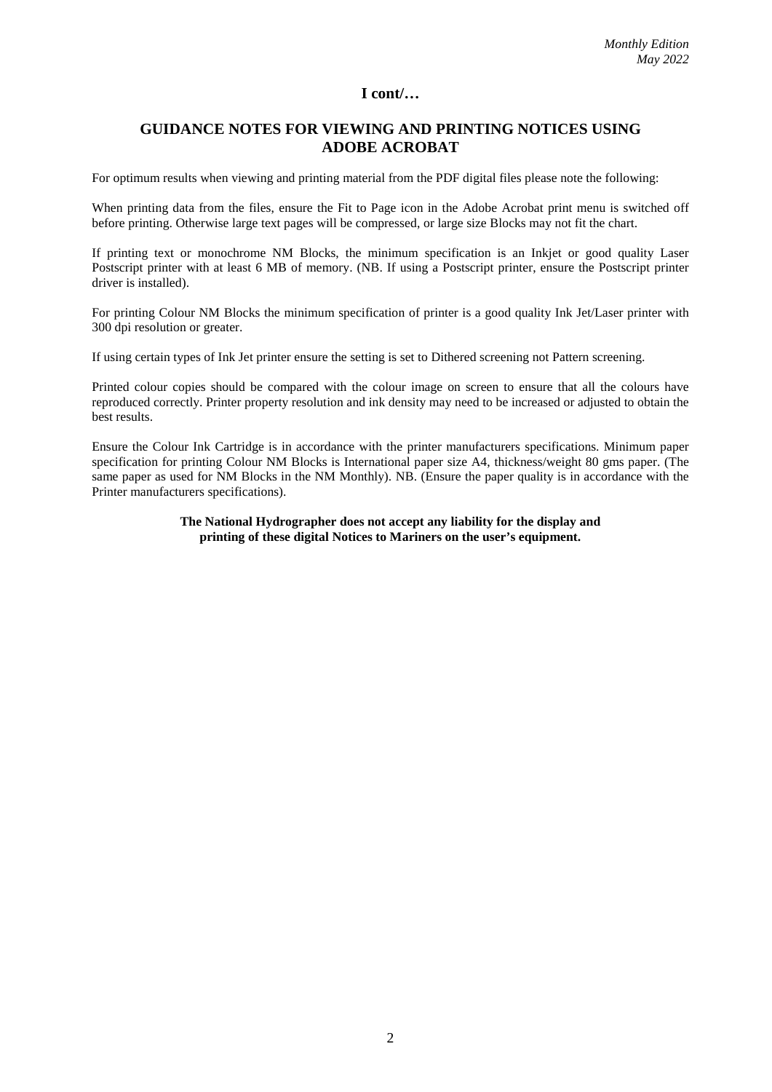## **GUIDANCE NOTES FOR VIEWING AND PRINTING NOTICES USING ADOBE ACROBAT**

For optimum results when viewing and printing material from the PDF digital files please note the following:

When printing data from the files, ensure the Fit to Page icon in the Adobe Acrobat print menu is switched off before printing. Otherwise large text pages will be compressed, or large size Blocks may not fit the chart.

If printing text or monochrome NM Blocks, the minimum specification is an Inkjet or good quality Laser Postscript printer with at least 6 MB of memory. (NB. If using a Postscript printer, ensure the Postscript printer driver is installed).

For printing Colour NM Blocks the minimum specification of printer is a good quality Ink Jet/Laser printer with 300 dpi resolution or greater.

If using certain types of Ink Jet printer ensure the setting is set to Dithered screening not Pattern screening.

Printed colour copies should be compared with the colour image on screen to ensure that all the colours have reproduced correctly. Printer property resolution and ink density may need to be increased or adjusted to obtain the best results.

Ensure the Colour Ink Cartridge is in accordance with the printer manufacturers specifications. Minimum paper specification for printing Colour NM Blocks is International paper size A4, thickness/weight 80 gms paper. (The same paper as used for NM Blocks in the NM Monthly). NB. (Ensure the paper quality is in accordance with the Printer manufacturers specifications).

#### **The National Hydrographer does not accept any liability for the display and printing of these digital Notices to Mariners on the user's equipment.**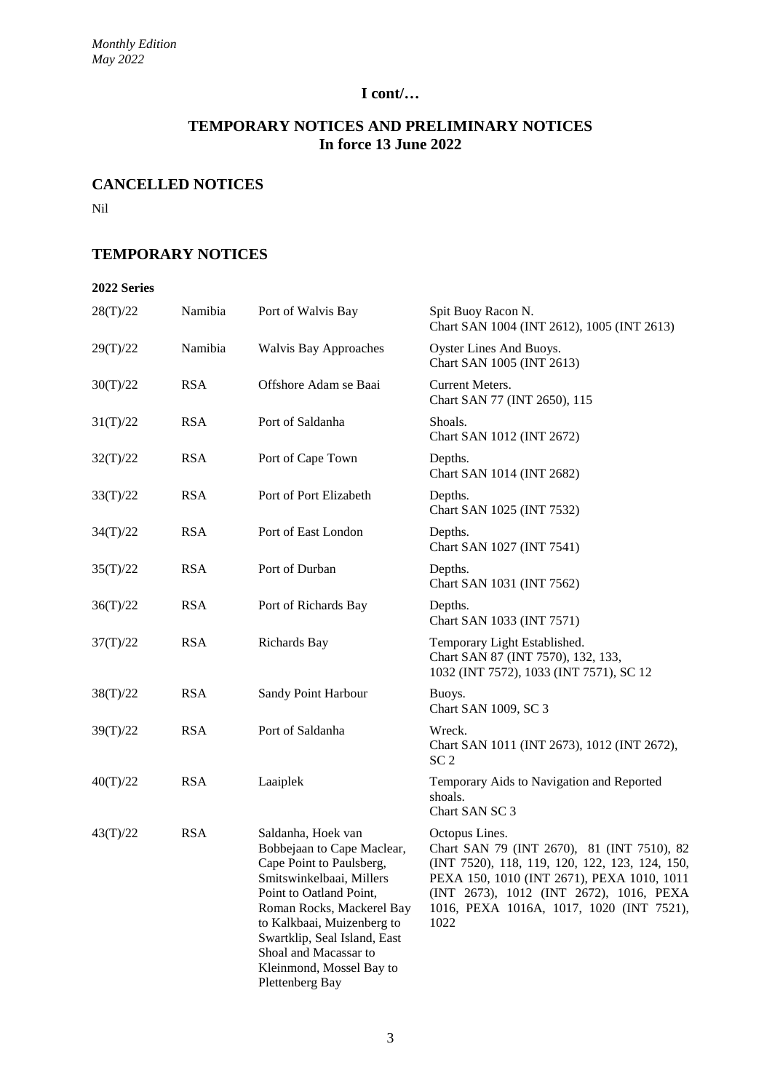## **TEMPORARY NOTICES AND PRELIMINARY NOTICES In force 13 June 2022**

## **CANCELLED NOTICES**

Nil

## **TEMPORARY NOTICES**

#### **2022 Series**

| 28(T)/22 | Namibia    | Port of Walvis Bay                                                                                                                                                                                                                                                                                     | Spit Buoy Racon N.<br>Chart SAN 1004 (INT 2612), 1005 (INT 2613)                                                                                                                                                                                            |
|----------|------------|--------------------------------------------------------------------------------------------------------------------------------------------------------------------------------------------------------------------------------------------------------------------------------------------------------|-------------------------------------------------------------------------------------------------------------------------------------------------------------------------------------------------------------------------------------------------------------|
| 29(T)/22 | Namibia    | <b>Walvis Bay Approaches</b>                                                                                                                                                                                                                                                                           | Oyster Lines And Buoys.<br>Chart SAN 1005 (INT 2613)                                                                                                                                                                                                        |
| 30(T)/22 | <b>RSA</b> | Offshore Adam se Baai                                                                                                                                                                                                                                                                                  | Current Meters.<br>Chart SAN 77 (INT 2650), 115                                                                                                                                                                                                             |
| 31(T)/22 | <b>RSA</b> | Port of Saldanha                                                                                                                                                                                                                                                                                       | Shoals.<br>Chart SAN 1012 (INT 2672)                                                                                                                                                                                                                        |
| 32(T)/22 | <b>RSA</b> | Port of Cape Town                                                                                                                                                                                                                                                                                      | Depths.<br>Chart SAN 1014 (INT 2682)                                                                                                                                                                                                                        |
| 33(T)/22 | <b>RSA</b> | Port of Port Elizabeth                                                                                                                                                                                                                                                                                 | Depths.<br>Chart SAN 1025 (INT 7532)                                                                                                                                                                                                                        |
| 34(T)/22 | <b>RSA</b> | Port of East London                                                                                                                                                                                                                                                                                    | Depths.<br>Chart SAN 1027 (INT 7541)                                                                                                                                                                                                                        |
| 35(T)/22 | <b>RSA</b> | Port of Durban                                                                                                                                                                                                                                                                                         | Depths.<br>Chart SAN 1031 (INT 7562)                                                                                                                                                                                                                        |
| 36(T)/22 | <b>RSA</b> | Port of Richards Bay                                                                                                                                                                                                                                                                                   | Depths.<br>Chart SAN 1033 (INT 7571)                                                                                                                                                                                                                        |
| 37(T)/22 | <b>RSA</b> | Richards Bay                                                                                                                                                                                                                                                                                           | Temporary Light Established.<br>Chart SAN 87 (INT 7570), 132, 133,<br>1032 (INT 7572), 1033 (INT 7571), SC 12                                                                                                                                               |
| 38(T)/22 | <b>RSA</b> | Sandy Point Harbour                                                                                                                                                                                                                                                                                    | Buoys.<br>Chart SAN 1009, SC 3                                                                                                                                                                                                                              |
| 39(T)/22 | <b>RSA</b> | Port of Saldanha                                                                                                                                                                                                                                                                                       | Wreck.<br>Chart SAN 1011 (INT 2673), 1012 (INT 2672),<br>SC <sub>2</sub>                                                                                                                                                                                    |
| 40(T)/22 | <b>RSA</b> | Laaiplek                                                                                                                                                                                                                                                                                               | Temporary Aids to Navigation and Reported<br>shoals.<br>Chart SAN SC 3                                                                                                                                                                                      |
| 43(T)/22 | <b>RSA</b> | Saldanha, Hoek van<br>Bobbejaan to Cape Maclear,<br>Cape Point to Paulsberg,<br>Smitswinkelbaai, Millers<br>Point to Oatland Point,<br>Roman Rocks, Mackerel Bay<br>to Kalkbaai, Muizenberg to<br>Swartklip, Seal Island, East<br>Shoal and Macassar to<br>Kleinmond, Mossel Bay to<br>Plettenberg Bay | Octopus Lines.<br>Chart SAN 79 (INT 2670), 81 (INT 7510), 82<br>(INT 7520), 118, 119, 120, 122, 123, 124, 150,<br>PEXA 150, 1010 (INT 2671), PEXA 1010, 1011<br>(INT 2673), 1012 (INT 2672), 1016, PEXA<br>1016, PEXA 1016A, 1017, 1020 (INT 7521),<br>1022 |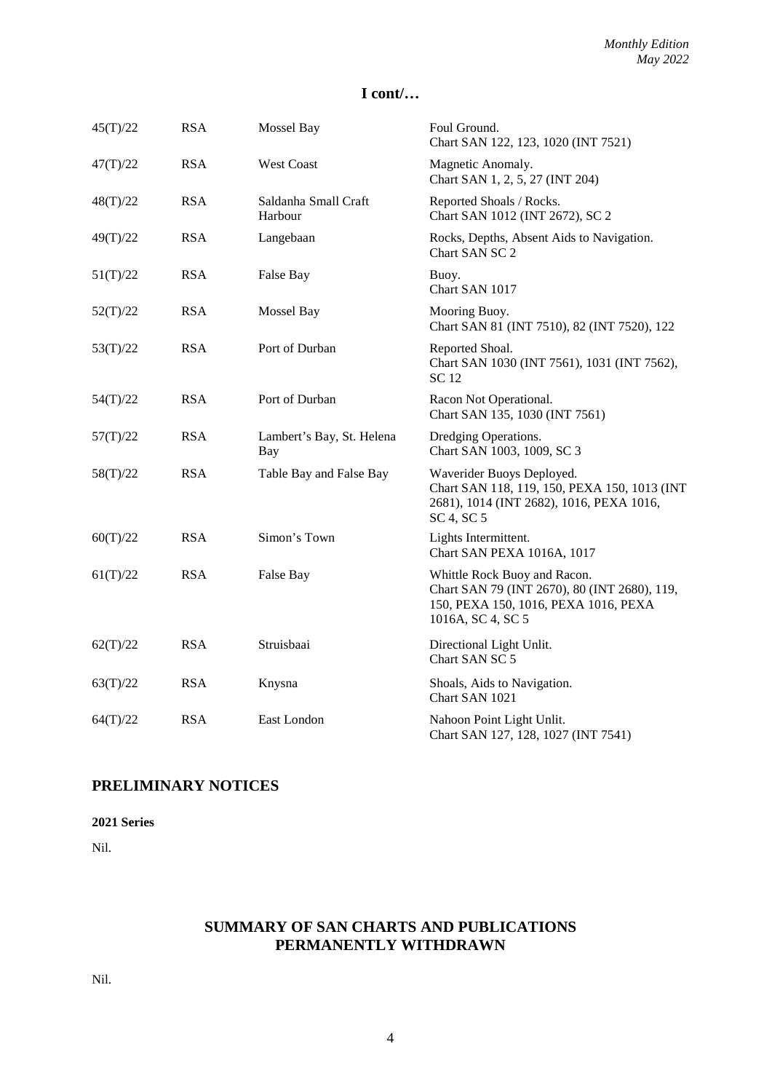| 45(T)/22 | <b>RSA</b> | Mossel Bay                       | Foul Ground.<br>Chart SAN 122, 123, 1020 (INT 7521)                                                                                       |
|----------|------------|----------------------------------|-------------------------------------------------------------------------------------------------------------------------------------------|
| 47(T)/22 | <b>RSA</b> | <b>West Coast</b>                | Magnetic Anomaly.<br>Chart SAN 1, 2, 5, 27 (INT 204)                                                                                      |
| 48(T)/22 | <b>RSA</b> | Saldanha Small Craft<br>Harbour  | Reported Shoals / Rocks.<br>Chart SAN 1012 (INT 2672), SC 2                                                                               |
| 49(T)/22 | <b>RSA</b> | Langebaan                        | Rocks, Depths, Absent Aids to Navigation.<br>Chart SAN SC 2                                                                               |
| 51(T)/22 | <b>RSA</b> | False Bay                        | Buoy.<br>Chart SAN 1017                                                                                                                   |
| 52(T)/22 | <b>RSA</b> | Mossel Bay                       | Mooring Buoy.<br>Chart SAN 81 (INT 7510), 82 (INT 7520), 122                                                                              |
| 53(T)/22 | <b>RSA</b> | Port of Durban                   | Reported Shoal.<br>Chart SAN 1030 (INT 7561), 1031 (INT 7562),<br><b>SC12</b>                                                             |
| 54(T)/22 | <b>RSA</b> | Port of Durban                   | Racon Not Operational.<br>Chart SAN 135, 1030 (INT 7561)                                                                                  |
| 57(T)/22 | <b>RSA</b> | Lambert's Bay, St. Helena<br>Bay | Dredging Operations.<br>Chart SAN 1003, 1009, SC 3                                                                                        |
| 58(T)/22 | <b>RSA</b> | Table Bay and False Bay          | Waverider Buoys Deployed.<br>Chart SAN 118, 119, 150, PEXA 150, 1013 (INT<br>2681), 1014 (INT 2682), 1016, PEXA 1016,<br>SC 4, SC 5       |
| 60(T)/22 | <b>RSA</b> | Simon's Town                     | Lights Intermittent.<br>Chart SAN PEXA 1016A, 1017                                                                                        |
| 61(T)/22 | <b>RSA</b> | False Bay                        | Whittle Rock Buoy and Racon.<br>Chart SAN 79 (INT 2670), 80 (INT 2680), 119,<br>150, PEXA 150, 1016, PEXA 1016, PEXA<br>1016A, SC 4, SC 5 |
| 62(T)/22 | <b>RSA</b> | Struisbaai                       | Directional Light Unlit.<br>Chart SAN SC 5                                                                                                |
| 63(T)/22 | <b>RSA</b> | Knysna                           | Shoals, Aids to Navigation.<br>Chart SAN 1021                                                                                             |
| 64(T)/22 | <b>RSA</b> | East London                      | Nahoon Point Light Unlit.<br>Chart SAN 127, 128, 1027 (INT 7541)                                                                          |

## **PRELIMINARY NOTICES**

**2021 Series**

Nil.

## **SUMMARY OF SAN CHARTS AND PUBLICATIONS PERMANENTLY WITHDRAWN**

Nil.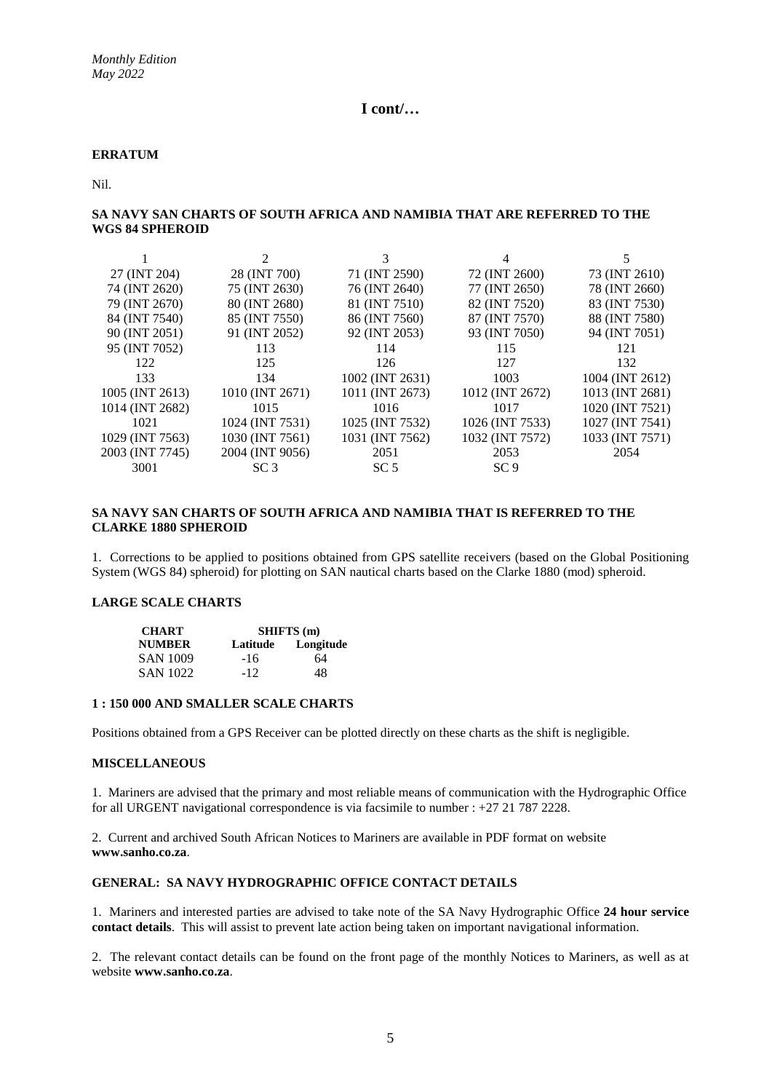#### **ERRATUM**

Nil.

#### **SA NAVY SAN CHARTS OF SOUTH AFRICA AND NAMIBIA THAT ARE REFERRED TO THE WGS 84 SPHEROID**

|                 |                 | 3               | 4               | 5.              |
|-----------------|-----------------|-----------------|-----------------|-----------------|
| 27 (INT 204)    | 28 (INT 700)    | 71 (INT 2590)   | 72 (INT 2600)   | 73 (INT 2610)   |
| 74 (INT 2620)   | 75 (INT 2630)   | 76 (INT 2640)   | 77 (INT 2650)   | 78 (INT 2660)   |
| 79 (INT 2670)   | 80 (INT 2680)   | 81 (INT 7510)   | 82 (INT 7520)   | 83 (INT 7530)   |
| 84 (INT 7540)   | 85 (INT 7550)   | 86 (INT 7560)   | 87 (INT 7570)   | 88 (INT 7580)   |
| 90 (INT 2051)   | 91 (INT 2052)   | 92 (INT 2053)   | 93 (INT 7050)   | 94 (INT 7051)   |
| 95 (INT 7052)   | 113             | 114             | 115             | 121             |
| 122             | 125             | 126             | 127             | 132             |
| 133             | 134             | 1002 (INT 2631) | 1003            | 1004 (INT 2612) |
| 1005 (INT 2613) | 1010 (INT 2671) | 1011 (INT 2673) | 1012 (INT 2672) | 1013 (INT 2681) |
| 1014 (INT 2682) | 1015            | 1016            | 1017            | 1020 (INT 7521) |
| 1021            | 1024 (INT 7531) | 1025 (INT 7532) | 1026 (INT 7533) | 1027 (INT 7541) |
| 1029 (INT 7563) | 1030 (INT 7561) | 1031 (INT 7562) | 1032 (INT 7572) | 1033 (INT 7571) |
| 2003 (INT 7745) | 2004 (INT 9056) | 2051            | 2053            | 2054            |
| 3001            | SC <sub>3</sub> | SC <sub>5</sub> | SC9             |                 |

#### **SA NAVY SAN CHARTS OF SOUTH AFRICA AND NAMIBIA THAT IS REFERRED TO THE CLARKE 1880 SPHEROID**

1. Corrections to be applied to positions obtained from GPS satellite receivers (based on the Global Positioning System (WGS 84) spheroid) for plotting on SAN nautical charts based on the Clarke 1880 (mod) spheroid.

#### **LARGE SCALE CHARTS**

| <b>CHART</b>    | <b>SHIFTS</b> (m) |           |  |
|-----------------|-------------------|-----------|--|
| <b>NUMBER</b>   | Latitude          | Longitude |  |
| <b>SAN 1009</b> | $-16$             | 64        |  |
| <b>SAN 1022</b> | $-12$             | 48        |  |

#### **1 : 150 000 AND SMALLER SCALE CHARTS**

Positions obtained from a GPS Receiver can be plotted directly on these charts as the shift is negligible.

#### **MISCELLANEOUS**

1. Mariners are advised that the primary and most reliable means of communication with the Hydrographic Office for all URGENT navigational correspondence is via facsimile to number : +27 21 787 2228.

2. Current and archived South African Notices to Mariners are available in PDF format on website **www.sanho.co.za**.

#### **GENERAL: SA NAVY HYDROGRAPHIC OFFICE CONTACT DETAILS**

1. Mariners and interested parties are advised to take note of the SA Navy Hydrographic Office **24 hour service contact details**. This will assist to prevent late action being taken on important navigational information.

2. The relevant contact details can be found on the front page of the monthly Notices to Mariners, as well as at website **www.sanho.co.za**.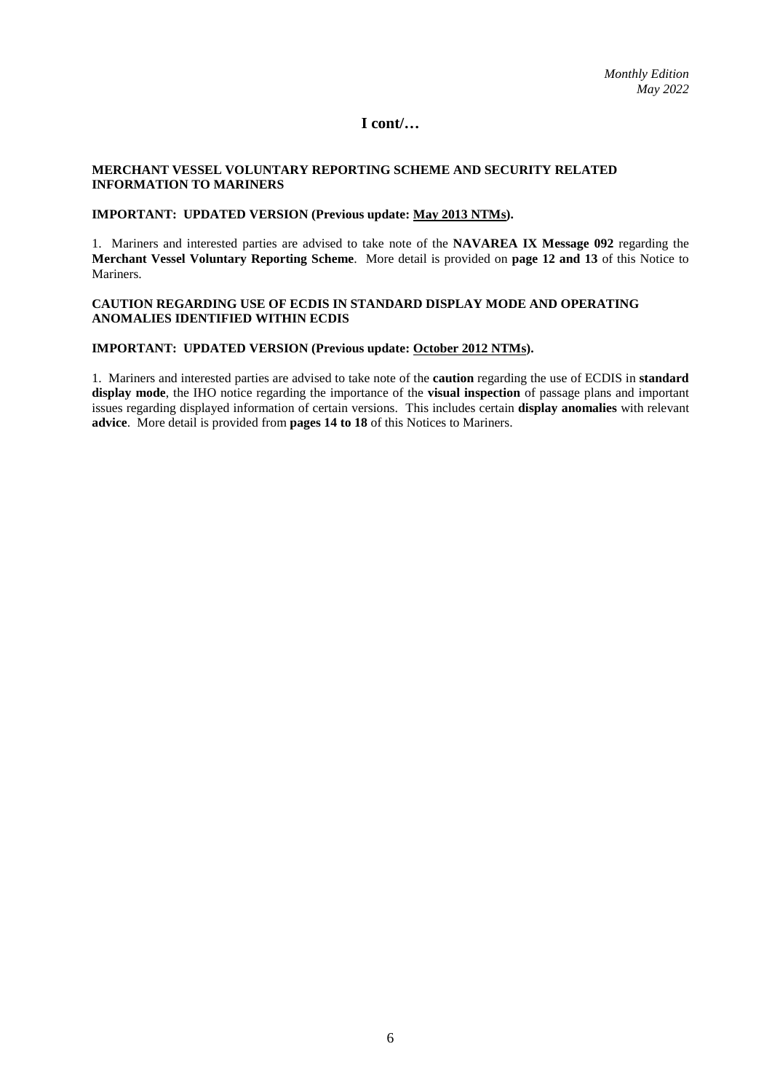#### **MERCHANT VESSEL VOLUNTARY REPORTING SCHEME AND SECURITY RELATED INFORMATION TO MARINERS**

#### **IMPORTANT: UPDATED VERSION (Previous update: May 2013 NTMs).**

1. Mariners and interested parties are advised to take note of the **NAVAREA IX Message 092** regarding the **Merchant Vessel Voluntary Reporting Scheme**. More detail is provided on **page 12 and 13** of this Notice to Mariners.

#### **CAUTION REGARDING USE OF ECDIS IN STANDARD DISPLAY MODE AND OPERATING ANOMALIES IDENTIFIED WITHIN ECDIS**

#### **IMPORTANT: UPDATED VERSION (Previous update: October 2012 NTMs).**

1. Mariners and interested parties are advised to take note of the **caution** regarding the use of ECDIS in **standard display mode**, the IHO notice regarding the importance of the **visual inspection** of passage plans and important issues regarding displayed information of certain versions. This includes certain **display anomalies** with relevant **advice**. More detail is provided from **pages 14 to 18** of this Notices to Mariners.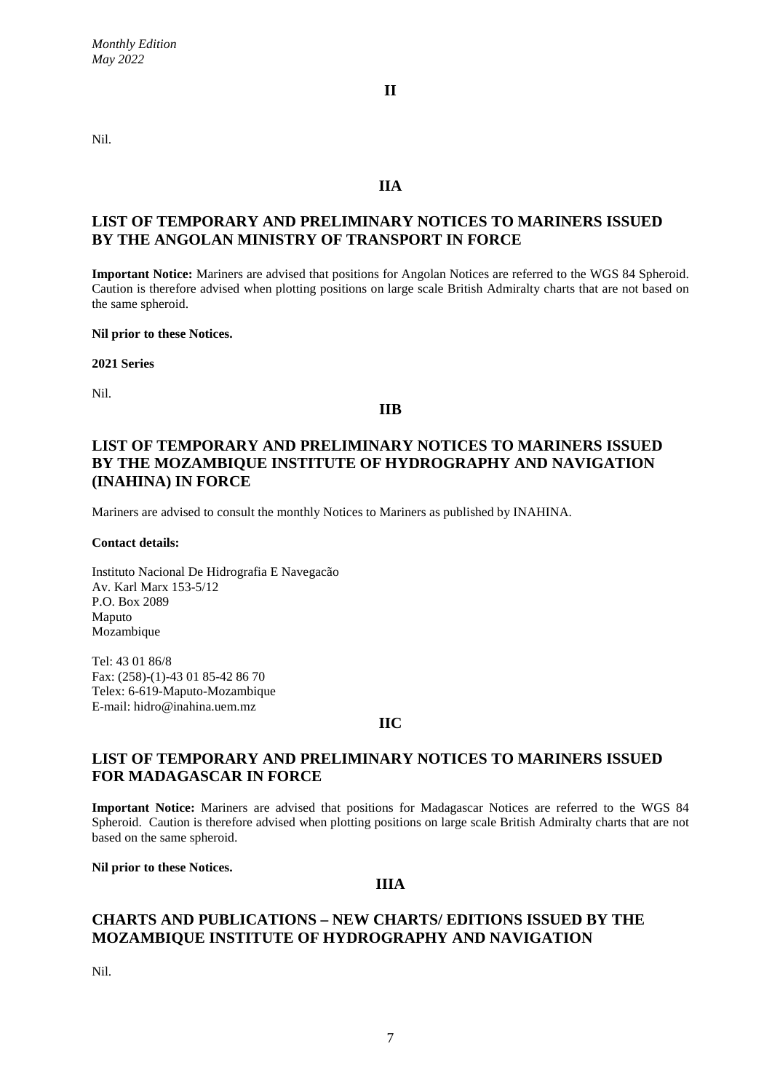Nil.

## **IIA**

**II**

## **LIST OF TEMPORARY AND PRELIMINARY NOTICES TO MARINERS ISSUED BY THE ANGOLAN MINISTRY OF TRANSPORT IN FORCE**

**Important Notice:** Mariners are advised that positions for Angolan Notices are referred to the WGS 84 Spheroid. Caution is therefore advised when plotting positions on large scale British Admiralty charts that are not based on the same spheroid.

#### **Nil prior to these Notices.**

**2021 Series**

Nil.

#### **IIB**

## **LIST OF TEMPORARY AND PRELIMINARY NOTICES TO MARINERS ISSUED BY THE MOZAMBIQUE INSTITUTE OF HYDROGRAPHY AND NAVIGATION (INAHINA) IN FORCE**

Mariners are advised to consult the monthly Notices to Mariners as published by INAHINA.

**Contact details:**

Instituto Nacional De Hidrografia E Navegacão Av. Karl Marx 153-5/12 P.O. Box 2089 Maputo Mozambique

Tel: 43 01 86/8 Fax: (258)-(1)-43 01 85-42 86 70 Telex: 6-619-Maputo-Mozambique E-mail: hidro@inahina.uem.mz

## **IIC**

## **LIST OF TEMPORARY AND PRELIMINARY NOTICES TO MARINERS ISSUED FOR MADAGASCAR IN FORCE**

**Important Notice:** Mariners are advised that positions for Madagascar Notices are referred to the WGS 84 Spheroid. Caution is therefore advised when plotting positions on large scale British Admiralty charts that are not based on the same spheroid.

#### **Nil prior to these Notices.**

#### **IIIA**

## **CHARTS AND PUBLICATIONS – NEW CHARTS/ EDITIONS ISSUED BY THE MOZAMBIQUE INSTITUTE OF HYDROGRAPHY AND NAVIGATION**

Nil.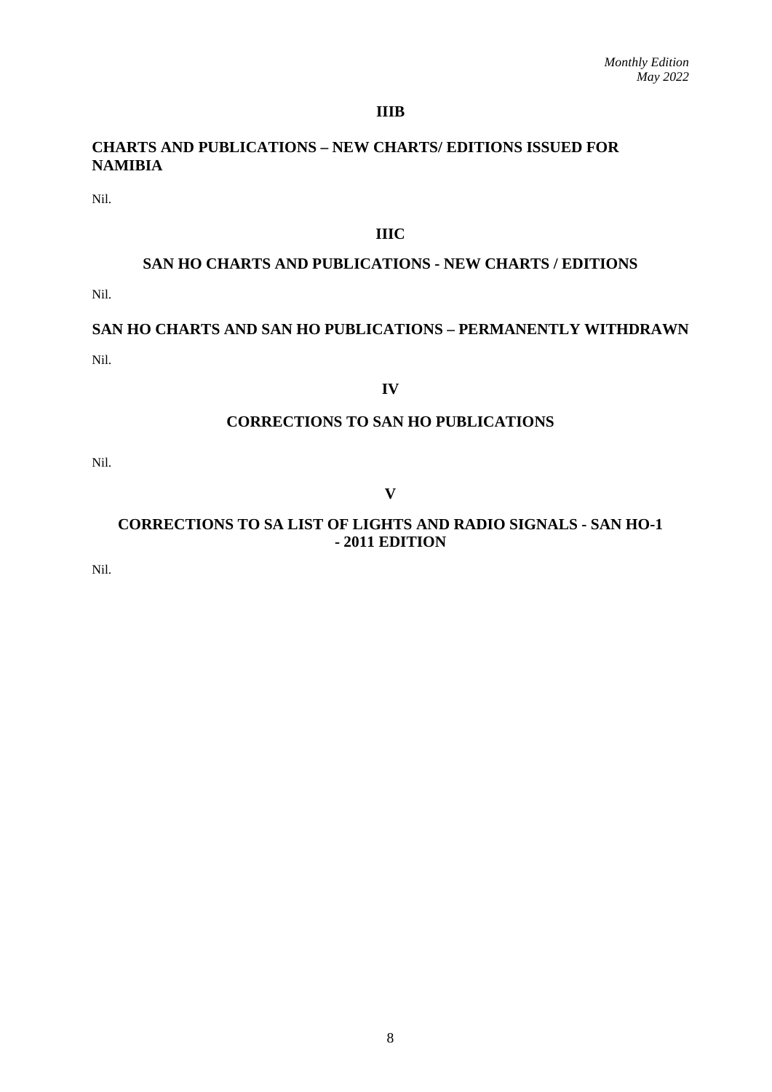## **IIIB**

## **CHARTS AND PUBLICATIONS – NEW CHARTS/ EDITIONS ISSUED FOR NAMIBIA**

Nil.

## **IIIC**

## **SAN HO CHARTS AND PUBLICATIONS - NEW CHARTS / EDITIONS**

Nil.

# **SAN HO CHARTS AND SAN HO PUBLICATIONS – PERMANENTLY WITHDRAWN** Nil.

#### **IV**

## **CORRECTIONS TO SAN HO PUBLICATIONS**

Nil.

## **V**

## **CORRECTIONS TO SA LIST OF LIGHTS AND RADIO SIGNALS - SAN HO-1 - 2011 EDITION**

Nil.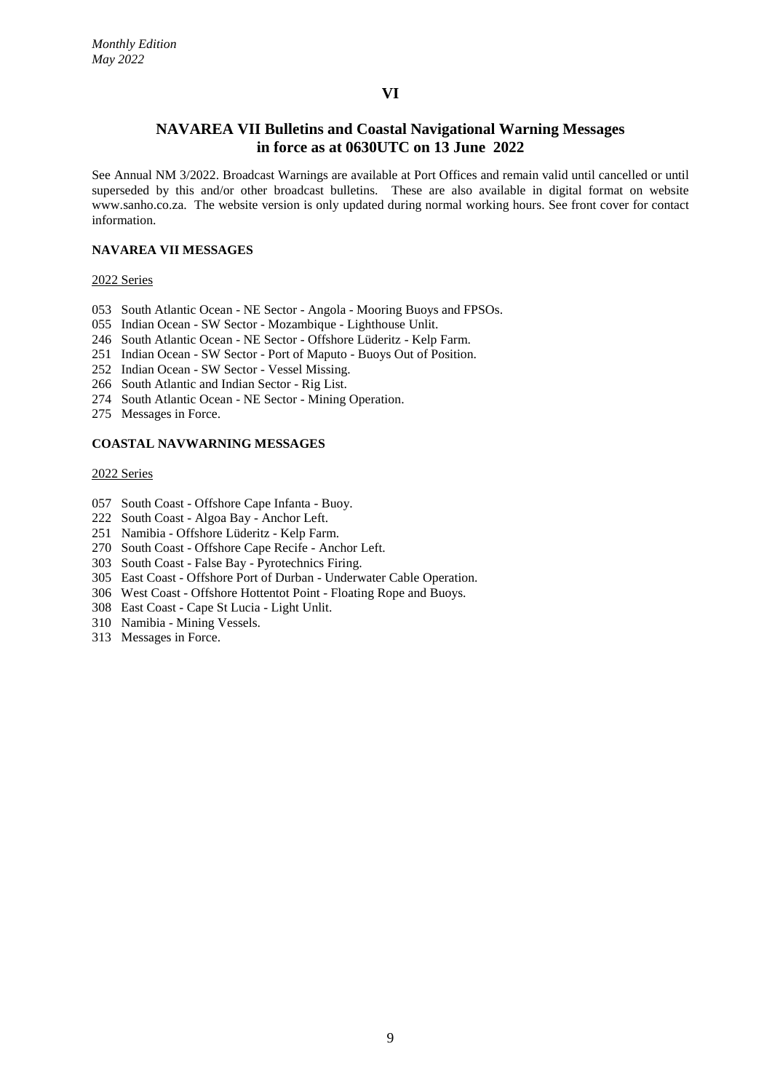## **NAVAREA VII Bulletins and Coastal Navigational Warning Messages in force as at 0630UTC on 13 June 2022**

See Annual NM 3/2022. Broadcast Warnings are available at Port Offices and remain valid until cancelled or until superseded by this and/or other broadcast bulletins. These are also available in digital format on website www.sanho.co.za. The website version is only updated during normal working hours. See front cover for contact information.

#### **NAVAREA VII MESSAGES**

#### 2022 Series

- 053 South Atlantic Ocean NE Sector Angola Mooring Buoys and FPSOs.
- 055 Indian Ocean SW Sector Mozambique Lighthouse Unlit.
- 246 South Atlantic Ocean NE Sector Offshore Lüderitz Kelp Farm.
- 251 Indian Ocean SW Sector Port of Maputo Buoys Out of Position.
- 252 Indian Ocean SW Sector Vessel Missing.
- 266 South Atlantic and Indian Sector Rig List.
- 274 South Atlantic Ocean NE Sector Mining Operation.
- 275 Messages in Force.

#### **COASTAL NAVWARNING MESSAGES**

#### 2022 Series

- 057 South Coast Offshore Cape Infanta Buoy.
- 222 South Coast Algoa Bay Anchor Left.
- 251 Namibia Offshore Lüderitz Kelp Farm.
- 270 South Coast Offshore Cape Recife Anchor Left.
- 303 South Coast False Bay Pyrotechnics Firing.
- 305 East Coast Offshore Port of Durban Underwater Cable Operation.
- 306 West Coast Offshore Hottentot Point Floating Rope and Buoys.
- 308 East Coast Cape St Lucia Light Unlit.
- 310 Namibia Mining Vessels.
- 313 Messages in Force.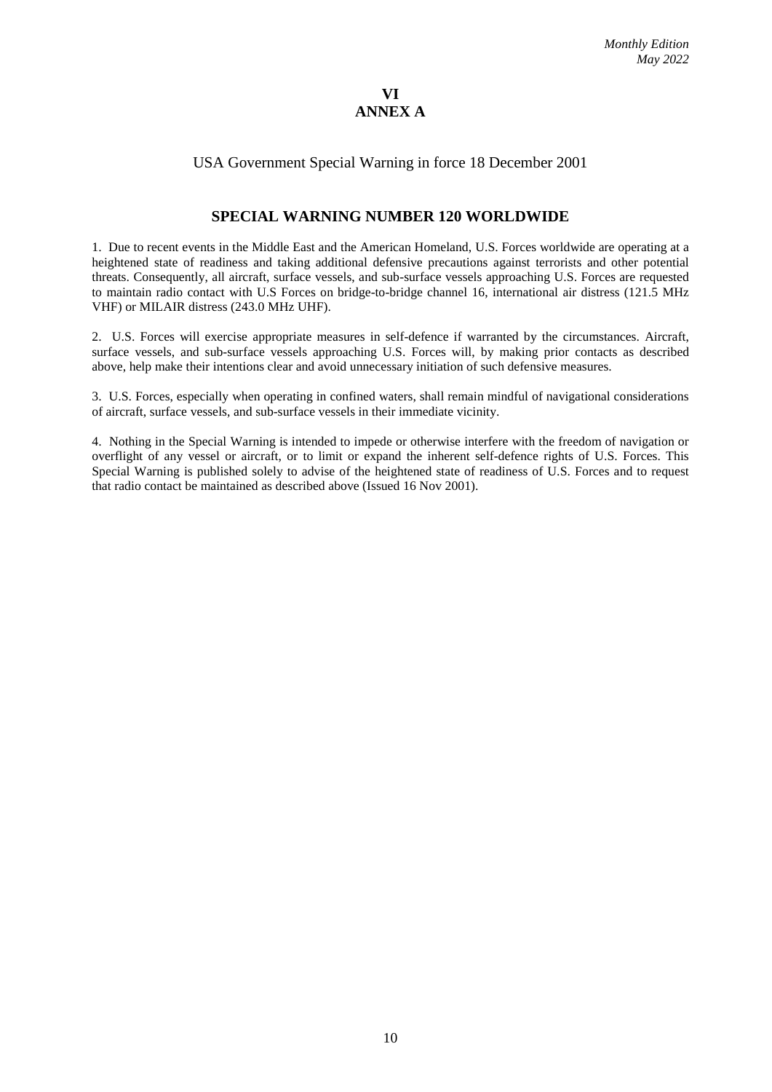## **VI ANNEX A**

## USA Government Special Warning in force 18 December 2001

## **SPECIAL WARNING NUMBER 120 WORLDWIDE**

1. Due to recent events in the Middle East and the American Homeland, U.S. Forces worldwide are operating at a heightened state of readiness and taking additional defensive precautions against terrorists and other potential threats. Consequently, all aircraft, surface vessels, and sub-surface vessels approaching U.S. Forces are requested to maintain radio contact with U.S Forces on bridge-to-bridge channel 16, international air distress (121.5 MHz VHF) or MILAIR distress (243.0 MHz UHF).

2. U.S. Forces will exercise appropriate measures in self-defence if warranted by the circumstances. Aircraft, surface vessels, and sub-surface vessels approaching U.S. Forces will, by making prior contacts as described above, help make their intentions clear and avoid unnecessary initiation of such defensive measures.

3. U.S. Forces, especially when operating in confined waters, shall remain mindful of navigational considerations of aircraft, surface vessels, and sub-surface vessels in their immediate vicinity.

4. Nothing in the Special Warning is intended to impede or otherwise interfere with the freedom of navigation or overflight of any vessel or aircraft, or to limit or expand the inherent self-defence rights of U.S. Forces. This Special Warning is published solely to advise of the heightened state of readiness of U.S. Forces and to request that radio contact be maintained as described above (Issued 16 Nov 2001).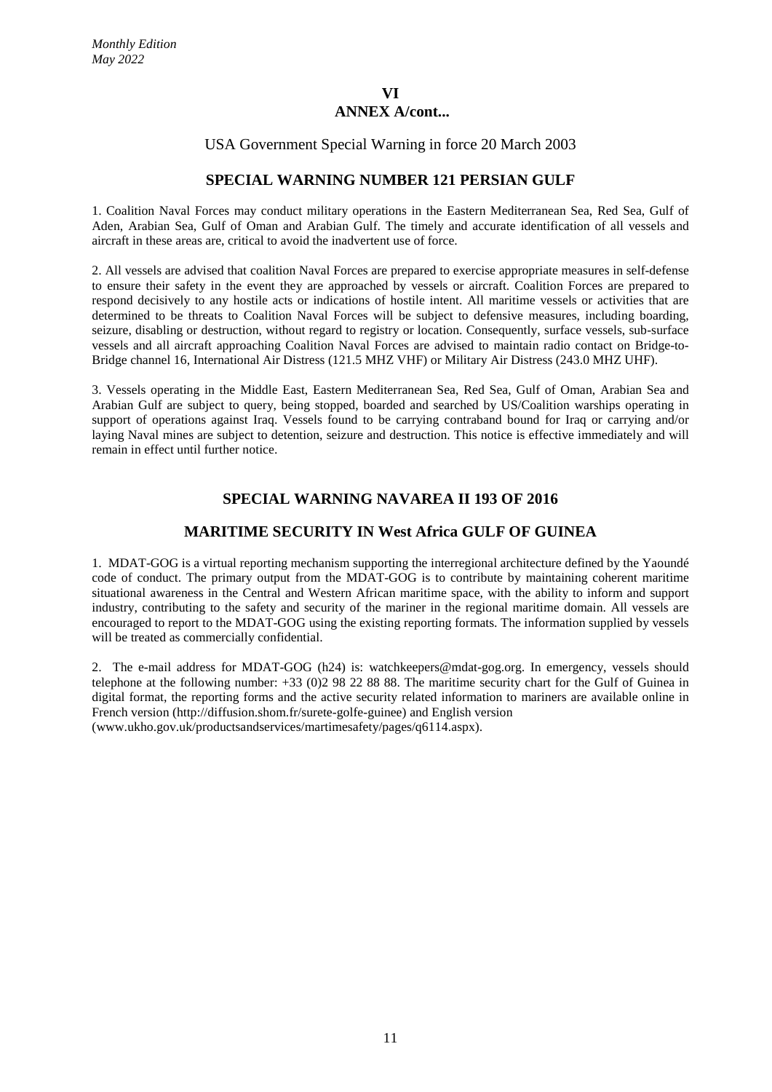## USA Government Special Warning in force 20 March 2003

## **SPECIAL WARNING NUMBER 121 PERSIAN GULF**

1. Coalition Naval Forces may conduct military operations in the Eastern Mediterranean Sea, Red Sea, Gulf of Aden, Arabian Sea, Gulf of Oman and Arabian Gulf. The timely and accurate identification of all vessels and aircraft in these areas are, critical to avoid the inadvertent use of force.

2. All vessels are advised that coalition Naval Forces are prepared to exercise appropriate measures in self-defense to ensure their safety in the event they are approached by vessels or aircraft. Coalition Forces are prepared to respond decisively to any hostile acts or indications of hostile intent. All maritime vessels or activities that are determined to be threats to Coalition Naval Forces will be subject to defensive measures, including boarding, seizure, disabling or destruction, without regard to registry or location. Consequently, surface vessels, sub-surface vessels and all aircraft approaching Coalition Naval Forces are advised to maintain radio contact on Bridge-to-Bridge channel 16, International Air Distress (121.5 MHZ VHF) or Military Air Distress (243.0 MHZ UHF).

3. Vessels operating in the Middle East, Eastern Mediterranean Sea, Red Sea, Gulf of Oman, Arabian Sea and Arabian Gulf are subject to query, being stopped, boarded and searched by US/Coalition warships operating in support of operations against Iraq. Vessels found to be carrying contraband bound for Iraq or carrying and/or laying Naval mines are subject to detention, seizure and destruction. This notice is effective immediately and will remain in effect until further notice.

## **SPECIAL WARNING NAVAREA II 193 OF 2016**

## **MARITIME SECURITY IN West Africa GULF OF GUINEA**

1. MDAT-GOG is a virtual reporting mechanism supporting the interregional architecture defined by the Yaoundé code of conduct. The primary output from the MDAT-GOG is to contribute by maintaining coherent maritime situational awareness in the Central and Western African maritime space, with the ability to inform and support industry, contributing to the safety and security of the mariner in the regional maritime domain. All vessels are encouraged to report to the MDAT-GOG using the existing reporting formats. The information supplied by vessels will be treated as commercially confidential.

2. The e-mail address for MDAT-GOG (h24) is: [watchkeepers@mdat-gog.org.](mailto:WATCHKEEPERS@MDAT-GOG.ORG) In emergency, vessels should telephone at the following number: +33 (0)2 98 22 88 88. The maritime security chart for the Gulf of Guinea in digital format, the reporting forms and the active security related information to mariners are available online in French version [\(http://diffusion.shom.fr/surete-golfe-guinee\)](http://diffusion.shom.fr/SURETE-GOLFE-GUINEE) and English version [\(www.ukho.gov.uk/productsandservices/martimesafety/pages/q6114.aspx\)](http://www.ukho.gov.uk/PRODUCTSANDSERVICES/MARTIMESAFETY/PAGES/Q6114.ASPX).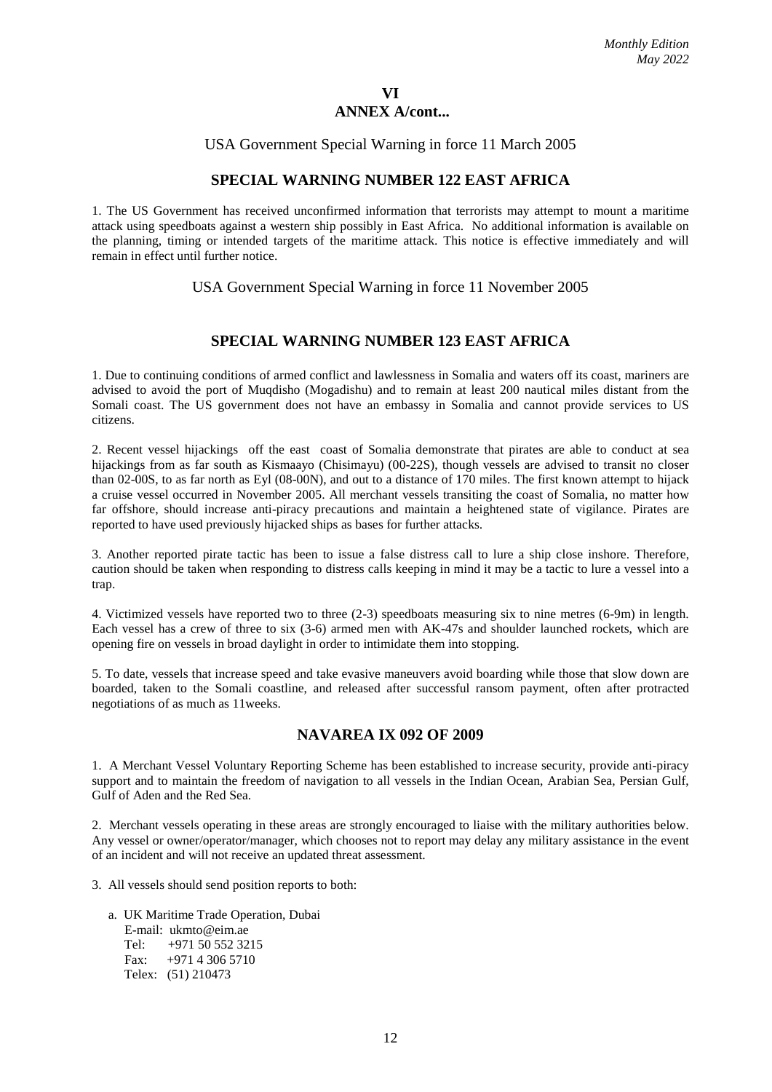## USA Government Special Warning in force 11 March 2005

## **SPECIAL WARNING NUMBER 122 EAST AFRICA**

1. The US Government has received unconfirmed information that terrorists may attempt to mount a maritime attack using speedboats against a western ship possibly in East Africa. No additional information is available on the planning, timing or intended targets of the maritime attack. This notice is effective immediately and will remain in effect until further notice.

## USA Government Special Warning in force 11 November 2005

## **SPECIAL WARNING NUMBER 123 EAST AFRICA**

1. Due to continuing conditions of armed conflict and lawlessness in Somalia and waters off its coast, mariners are advised to avoid the port of Muqdisho (Mogadishu) and to remain at least 200 nautical miles distant from the Somali coast. The US government does not have an embassy in Somalia and cannot provide services to US citizens.

2. Recent vessel hijackings off the east coast of Somalia demonstrate that pirates are able to conduct at sea hijackings from as far south as Kismaayo (Chisimayu) (00-22S), though vessels are advised to transit no closer than 02-00S, to as far north as Eyl (08-00N), and out to a distance of 170 miles. The first known attempt to hijack a cruise vessel occurred in November 2005. All merchant vessels transiting the coast of Somalia, no matter how far offshore, should increase anti-piracy precautions and maintain a heightened state of vigilance. Pirates are reported to have used previously hijacked ships as bases for further attacks.

3. Another reported pirate tactic has been to issue a false distress call to lure a ship close inshore. Therefore, caution should be taken when responding to distress calls keeping in mind it may be a tactic to lure a vessel into a trap.

4. Victimized vessels have reported two to three (2-3) speedboats measuring six to nine metres (6-9m) in length. Each vessel has a crew of three to six (3-6) armed men with AK-47s and shoulder launched rockets, which are opening fire on vessels in broad daylight in order to intimidate them into stopping.

5. To date, vessels that increase speed and take evasive maneuvers avoid boarding while those that slow down are boarded, taken to the Somali coastline, and released after successful ransom payment, often after protracted negotiations of as much as 11weeks.

## **NAVAREA IX 092 OF 2009**

1. A Merchant Vessel Voluntary Reporting Scheme has been established to increase security, provide anti-piracy support and to maintain the freedom of navigation to all vessels in the Indian Ocean, Arabian Sea, Persian Gulf, Gulf of Aden and the Red Sea.

2. Merchant vessels operating in these areas are strongly encouraged to liaise with the military authorities below. Any vessel or owner/operator/manager, which chooses not to report may delay any military assistance in the event of an incident and will not receive an updated threat assessment.

3. All vessels should send position reports to both:

 a. UK Maritime Trade Operation, Dubai E-mail: ukmto@eim.ae<br>Tel:  $+9715055232$  $+971$  50 552 3215 Fax: +971 4 306 5710 Telex: (51) 210473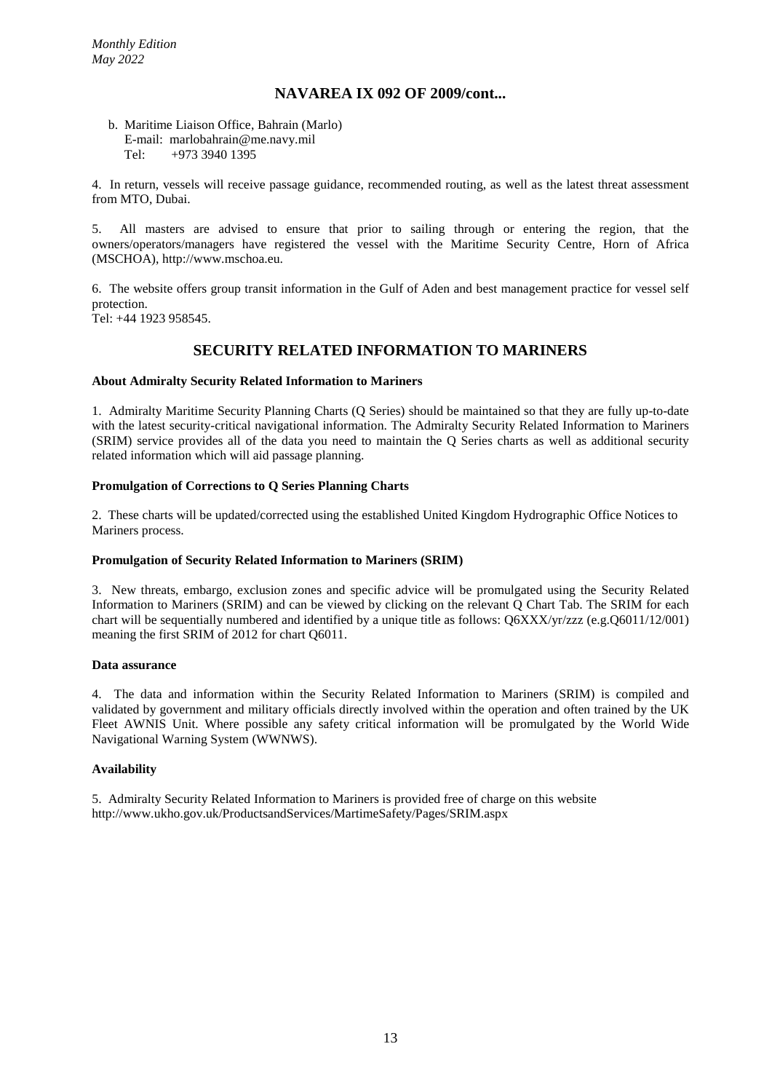## **NAVAREA IX 092 OF 2009/cont...**

#### b. Maritime Liaison Office, Bahrain (Marlo) E-mail: marlobahrain@me.navy.mil<br>Tel:  $+97339401395$ +973 3940 1395

4. In return, vessels will receive passage guidance, recommended routing, as well as the latest threat assessment from MTO, Dubai.

5. All masters are advised to ensure that prior to sailing through or entering the region, that the owners/operators/managers have registered the vessel with the Maritime Security Centre, Horn of Africa (MSCHOA), http://www.mschoa.eu.

6. The website offers group transit information in the Gulf of Aden and best management practice for vessel self protection.

Tel: +44 1923 958545.

## **SECURITY RELATED INFORMATION TO MARINERS**

#### **About Admiralty Security Related Information to Mariners**

1. Admiralty Maritime Security Planning Charts (Q Series) should be maintained so that they are fully up-to-date with the latest security-critical navigational information. The Admiralty Security Related Information to Mariners (SRIM) service provides all of the data you need to maintain the Q Series charts as well as additional security related information which will aid passage planning.

#### **Promulgation of Corrections to Q Series Planning Charts**

2. These charts will be updated/corrected using the established United Kingdom Hydrographic Office Notices to Mariners process.

#### **Promulgation of Security Related Information to Mariners (SRIM)**

3. New threats, embargo, exclusion zones and specific advice will be promulgated using the Security Related Information to Mariners (SRIM) and can be viewed by clicking on the relevant Q Chart Tab. The SRIM for each chart will be sequentially numbered and identified by a unique title as follows: Q6XXX/yr/zzz (e.g.Q6011/12/001) meaning the first SRIM of 2012 for chart Q6011.

#### **Data assurance**

4. The data and information within the Security Related Information to Mariners (SRIM) is compiled and validated by government and military officials directly involved within the operation and often trained by the UK Fleet AWNIS Unit. Where possible any safety critical information will be promulgated by the World Wide Navigational Warning System (WWNWS).

#### **Availability**

5. Admiralty Security Related Information to Mariners is provided free of charge on this website http://www.ukho.gov.uk/ProductsandServices/MartimeSafety/Pages/SRIM.aspx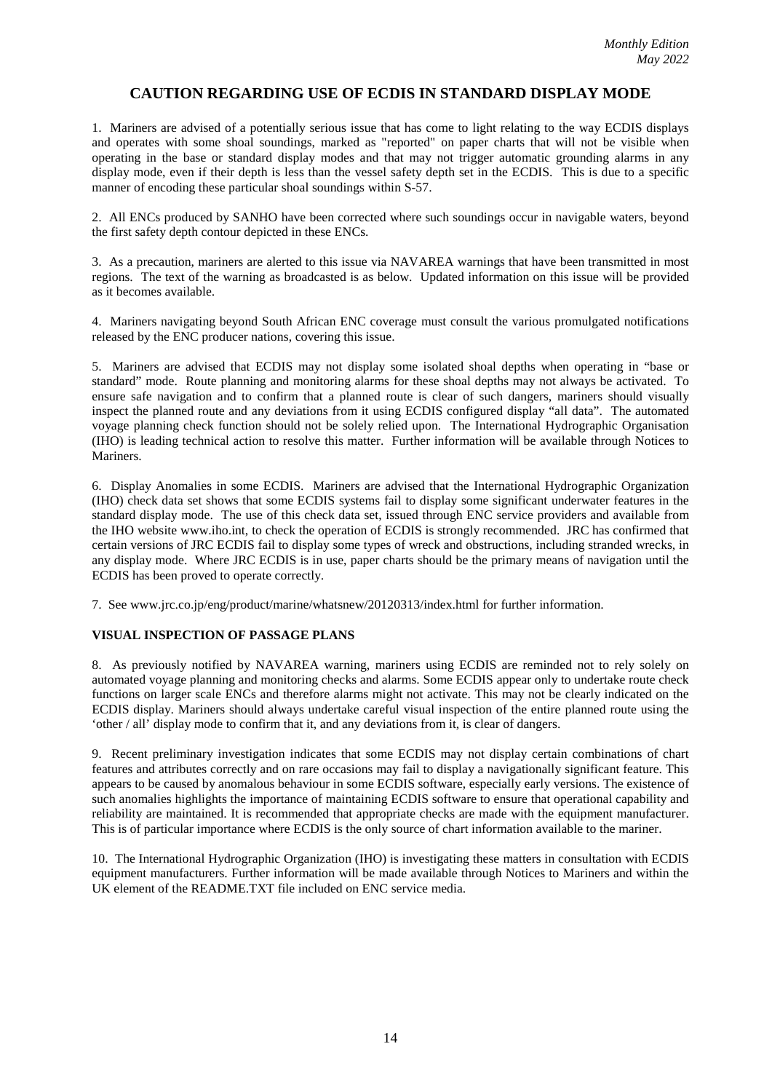## **CAUTION REGARDING USE OF ECDIS IN STANDARD DISPLAY MODE**

1. Mariners are advised of a potentially serious issue that has come to light relating to the way ECDIS displays and operates with some shoal soundings, marked as "reported" on paper charts that will not be visible when operating in the base or standard display modes and that may not trigger automatic grounding alarms in any display mode, even if their depth is less than the vessel safety depth set in the ECDIS. This is due to a specific manner of encoding these particular shoal soundings within S-57.

2. All ENCs produced by SANHO have been corrected where such soundings occur in navigable waters, beyond the first safety depth contour depicted in these ENCs.

3. As a precaution, mariners are alerted to this issue via NAVAREA warnings that have been transmitted in most regions. The text of the warning as broadcasted is as below. Updated information on this issue will be provided as it becomes available.

4. Mariners navigating beyond South African ENC coverage must consult the various promulgated notifications released by the ENC producer nations, covering this issue.

5. Mariners are advised that ECDIS may not display some isolated shoal depths when operating in "base or standard" mode. Route planning and monitoring alarms for these shoal depths may not always be activated. To ensure safe navigation and to confirm that a planned route is clear of such dangers, mariners should visually inspect the planned route and any deviations from it using ECDIS configured display "all data". The automated voyage planning check function should not be solely relied upon. The International Hydrographic Organisation (IHO) is leading technical action to resolve this matter. Further information will be available through Notices to Mariners.

6. Display Anomalies in some ECDIS. Mariners are advised that the International Hydrographic Organization (IHO) check data set shows that some ECDIS systems fail to display some significant underwater features in the standard display mode. The use of this check data set, issued through ENC service providers and available from the IHO website www.iho.int, to check the operation of ECDIS is strongly recommended. JRC has confirmed that certain versions of JRC ECDIS fail to display some types of wreck and obstructions, including stranded wrecks, in any display mode. Where JRC ECDIS is in use, paper charts should be the primary means of navigation until the ECDIS has been proved to operate correctly.

7. See [www.jrc.co.jp/eng/product/marine/whatsnew/20120313/index.html](http://www.jrc.co.jp/eng/product/marine/whatsnew/20120313/index.html) for further information.

#### **VISUAL INSPECTION OF PASSAGE PLANS**

8. As previously notified by NAVAREA warning, mariners using ECDIS are reminded not to rely solely on automated voyage planning and monitoring checks and alarms. Some ECDIS appear only to undertake route check functions on larger scale ENCs and therefore alarms might not activate. This may not be clearly indicated on the ECDIS display. Mariners should always undertake careful visual inspection of the entire planned route using the 'other / all' display mode to confirm that it, and any deviations from it, is clear of dangers.

9. Recent preliminary investigation indicates that some ECDIS may not display certain combinations of chart features and attributes correctly and on rare occasions may fail to display a navigationally significant feature. This appears to be caused by anomalous behaviour in some ECDIS software, especially early versions. The existence of such anomalies highlights the importance of maintaining ECDIS software to ensure that operational capability and reliability are maintained. It is recommended that appropriate checks are made with the equipment manufacturer. This is of particular importance where ECDIS is the only source of chart information available to the mariner.

10. The International Hydrographic Organization (IHO) is investigating these matters in consultation with ECDIS equipment manufacturers. Further information will be made available through Notices to Mariners and within the UK element of the README.TXT file included on ENC service media.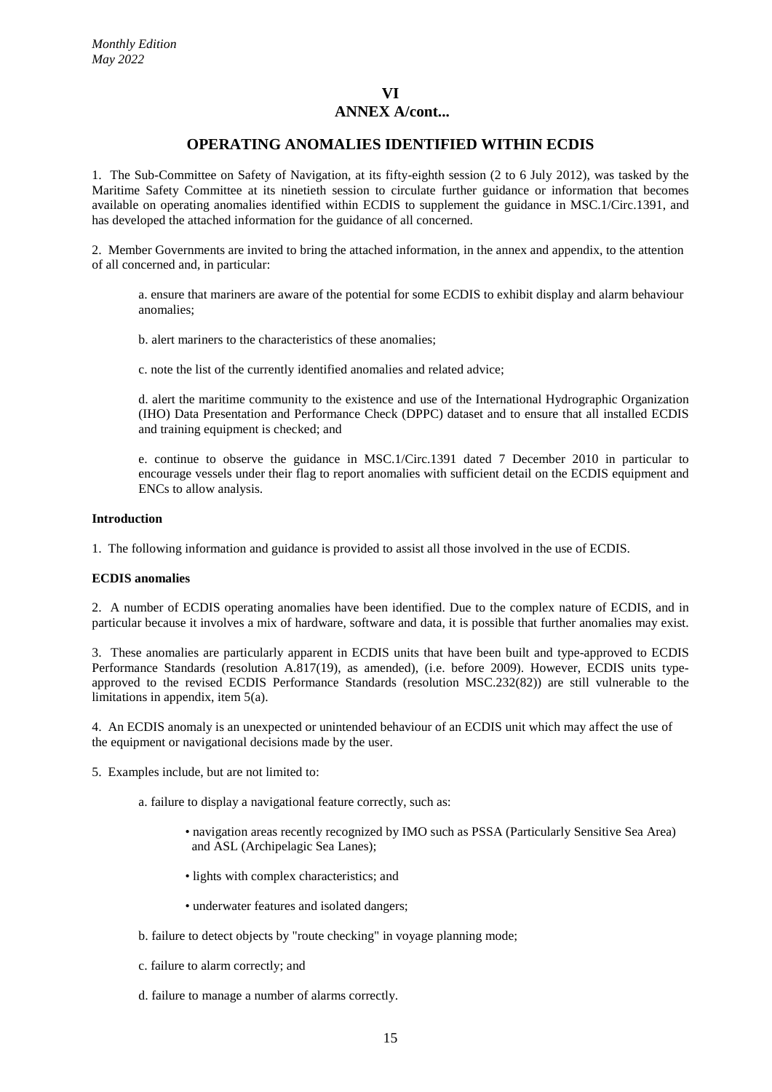## **OPERATING ANOMALIES IDENTIFIED WITHIN ECDIS**

1. The Sub-Committee on Safety of Navigation, at its fifty-eighth session (2 to 6 July 2012), was tasked by the Maritime Safety Committee at its ninetieth session to circulate further guidance or information that becomes available on operating anomalies identified within ECDIS to supplement the guidance in MSC.1/Circ.1391, and has developed the attached information for the guidance of all concerned.

2. Member Governments are invited to bring the attached information, in the annex and appendix, to the attention of all concerned and, in particular:

a. ensure that mariners are aware of the potential for some ECDIS to exhibit display and alarm behaviour anomalies;

b. alert mariners to the characteristics of these anomalies;

c. note the list of the currently identified anomalies and related advice;

d. alert the maritime community to the existence and use of the International Hydrographic Organization (IHO) Data Presentation and Performance Check (DPPC) dataset and to ensure that all installed ECDIS and training equipment is checked; and

e. continue to observe the guidance in MSC.1/Circ.1391 dated 7 December 2010 in particular to encourage vessels under their flag to report anomalies with sufficient detail on the ECDIS equipment and ENCs to allow analysis.

#### **Introduction**

1. The following information and guidance is provided to assist all those involved in the use of ECDIS.

#### **ECDIS anomalies**

2. A number of ECDIS operating anomalies have been identified. Due to the complex nature of ECDIS, and in particular because it involves a mix of hardware, software and data, it is possible that further anomalies may exist.

3. These anomalies are particularly apparent in ECDIS units that have been built and type-approved to ECDIS Performance Standards (resolution A.817(19), as amended), (i.e. before 2009). However, ECDIS units typeapproved to the revised ECDIS Performance Standards (resolution MSC.232(82)) are still vulnerable to the limitations in appendix, item 5(a).

4. An ECDIS anomaly is an unexpected or unintended behaviour of an ECDIS unit which may affect the use of the equipment or navigational decisions made by the user.

5. Examples include, but are not limited to:

- a. failure to display a navigational feature correctly, such as:
	- navigation areas recently recognized by IMO such as PSSA (Particularly Sensitive Sea Area) and ASL (Archipelagic Sea Lanes);
	- lights with complex characteristics; and
	- underwater features and isolated dangers;
- b. failure to detect objects by "route checking" in voyage planning mode;
- c. failure to alarm correctly; and
- d. failure to manage a number of alarms correctly.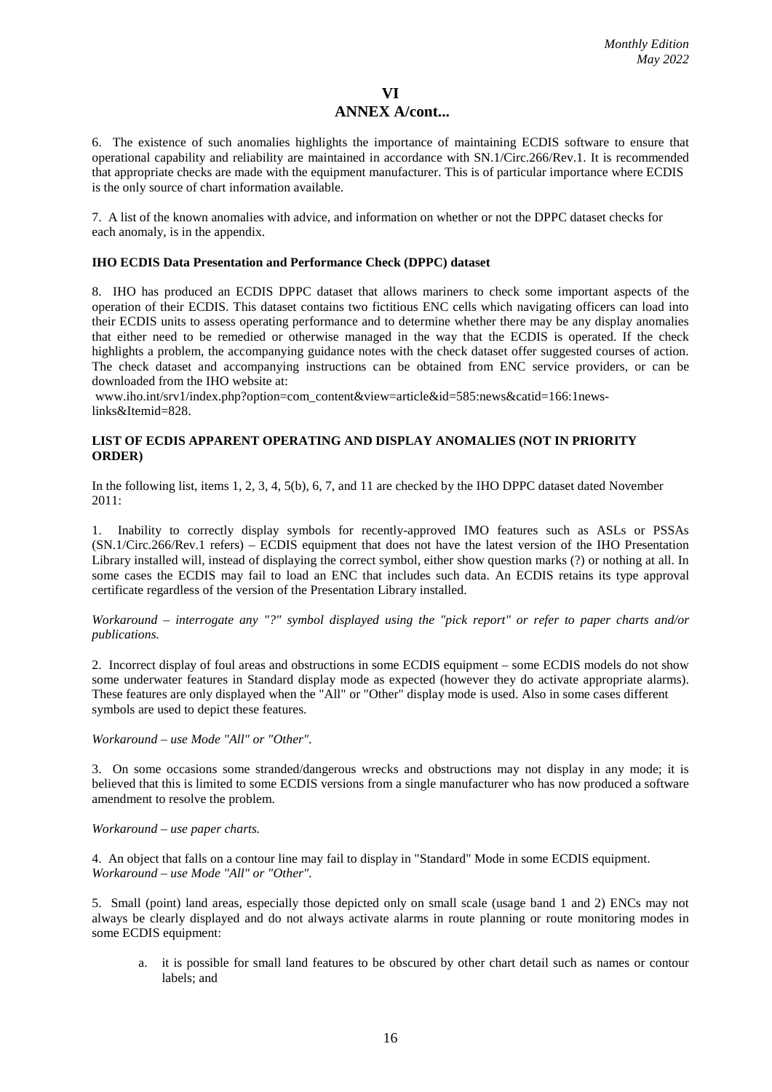6. The existence of such anomalies highlights the importance of maintaining ECDIS software to ensure that operational capability and reliability are maintained in accordance with SN.1/Circ.266/Rev.1. It is recommended that appropriate checks are made with the equipment manufacturer. This is of particular importance where ECDIS is the only source of chart information available.

7. A list of the known anomalies with advice, and information on whether or not the DPPC dataset checks for each anomaly, is in the appendix.

#### **IHO ECDIS Data Presentation and Performance Check (DPPC) dataset**

8. IHO has produced an ECDIS DPPC dataset that allows mariners to check some important aspects of the operation of their ECDIS. This dataset contains two fictitious ENC cells which navigating officers can load into their ECDIS units to assess operating performance and to determine whether there may be any display anomalies that either need to be remedied or otherwise managed in the way that the ECDIS is operated. If the check highlights a problem, the accompanying guidance notes with the check dataset offer suggested courses of action. The check dataset and accompanying instructions can be obtained from ENC service providers, or can be downloaded from the IHO website at:

www.iho.int/srv1/index.php?option=com\_content&view=article&id=585:news&catid=166:1newslinks&Itemid=828.

#### **LIST OF ECDIS APPARENT OPERATING AND DISPLAY ANOMALIES (NOT IN PRIORITY ORDER)**

In the following list, items 1, 2, 3, 4, 5(b), 6, 7, and 11 are checked by the IHO DPPC dataset dated November 2011:

1. Inability to correctly display symbols for recently-approved IMO features such as ASLs or PSSAs (SN.1/Circ.266/Rev.1 refers) – ECDIS equipment that does not have the latest version of the IHO Presentation Library installed will, instead of displaying the correct symbol, either show question marks (?) or nothing at all. In some cases the ECDIS may fail to load an ENC that includes such data. An ECDIS retains its type approval certificate regardless of the version of the Presentation Library installed.

#### *Workaround – interrogate any "?" symbol displayed using the "pick report" or refer to paper charts and/or publications.*

2. Incorrect display of foul areas and obstructions in some ECDIS equipment – some ECDIS models do not show some underwater features in Standard display mode as expected (however they do activate appropriate alarms). These features are only displayed when the "All" or "Other" display mode is used. Also in some cases different symbols are used to depict these features.

*Workaround – use Mode "All" or "Other".*

3. On some occasions some stranded/dangerous wrecks and obstructions may not display in any mode; it is believed that this is limited to some ECDIS versions from a single manufacturer who has now produced a software amendment to resolve the problem.

#### *Workaround – use paper charts.*

4. An object that falls on a contour line may fail to display in "Standard" Mode in some ECDIS equipment. *Workaround – use Mode "All" or "Other".*

5. Small (point) land areas, especially those depicted only on small scale (usage band 1 and 2) ENCs may not always be clearly displayed and do not always activate alarms in route planning or route monitoring modes in some ECDIS equipment:

a. it is possible for small land features to be obscured by other chart detail such as names or contour labels; and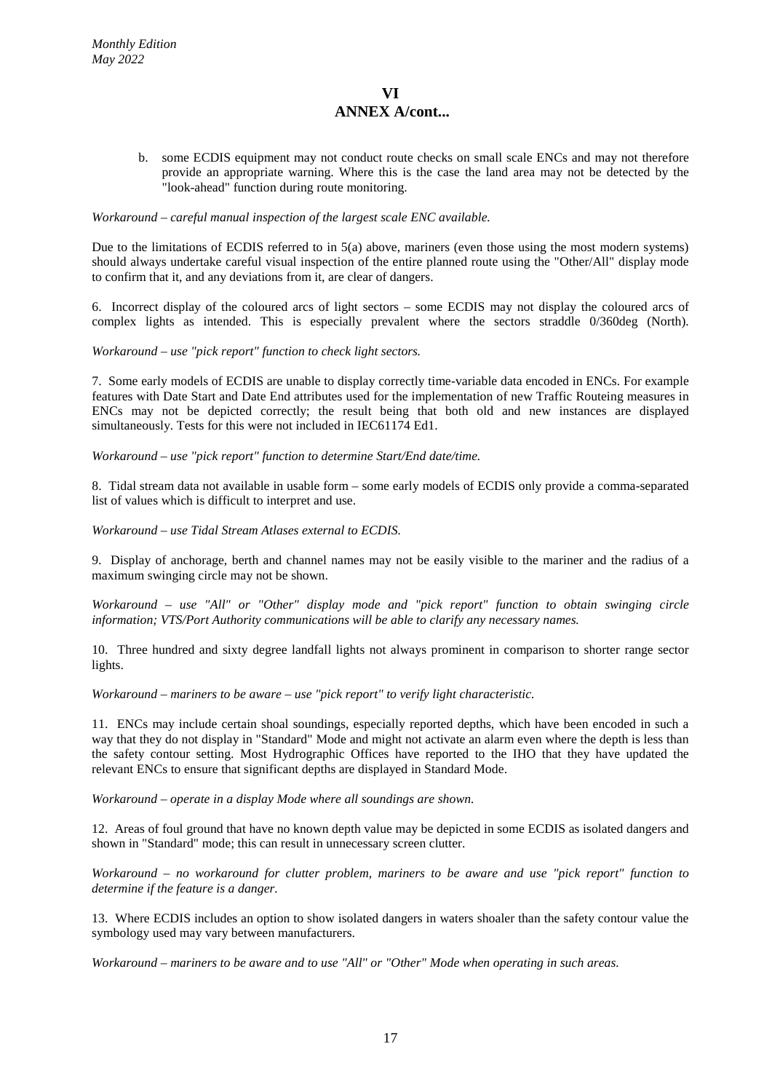b. some ECDIS equipment may not conduct route checks on small scale ENCs and may not therefore provide an appropriate warning. Where this is the case the land area may not be detected by the "look-ahead" function during route monitoring.

#### *Workaround – careful manual inspection of the largest scale ENC available.*

Due to the limitations of ECDIS referred to in 5(a) above, mariners (even those using the most modern systems) should always undertake careful visual inspection of the entire planned route using the "Other/All" display mode to confirm that it, and any deviations from it, are clear of dangers.

6. Incorrect display of the coloured arcs of light sectors – some ECDIS may not display the coloured arcs of complex lights as intended. This is especially prevalent where the sectors straddle 0/360deg (North).

#### *Workaround – use "pick report" function to check light sectors.*

7. Some early models of ECDIS are unable to display correctly time-variable data encoded in ENCs. For example features with Date Start and Date End attributes used for the implementation of new Traffic Routeing measures in ENCs may not be depicted correctly; the result being that both old and new instances are displayed simultaneously. Tests for this were not included in IEC61174 Ed1.

#### *Workaround – use "pick report" function to determine Start/End date/time.*

8. Tidal stream data not available in usable form – some early models of ECDIS only provide a comma-separated list of values which is difficult to interpret and use.

#### *Workaround – use Tidal Stream Atlases external to ECDIS.*

9. Display of anchorage, berth and channel names may not be easily visible to the mariner and the radius of a maximum swinging circle may not be shown.

*Workaround – use "All" or "Other" display mode and "pick report" function to obtain swinging circle information; VTS/Port Authority communications will be able to clarify any necessary names.*

10. Three hundred and sixty degree landfall lights not always prominent in comparison to shorter range sector lights.

#### *Workaround – mariners to be aware – use "pick report" to verify light characteristic.*

11. ENCs may include certain shoal soundings, especially reported depths, which have been encoded in such a way that they do not display in "Standard" Mode and might not activate an alarm even where the depth is less than the safety contour setting. Most Hydrographic Offices have reported to the IHO that they have updated the relevant ENCs to ensure that significant depths are displayed in Standard Mode.

*Workaround – operate in a display Mode where all soundings are shown.*

12. Areas of foul ground that have no known depth value may be depicted in some ECDIS as isolated dangers and shown in "Standard" mode; this can result in unnecessary screen clutter.

*Workaround – no workaround for clutter problem, mariners to be aware and use "pick report" function to determine if the feature is a danger.*

13. Where ECDIS includes an option to show isolated dangers in waters shoaler than the safety contour value the symbology used may vary between manufacturers.

*Workaround – mariners to be aware and to use "All" or "Other" Mode when operating in such areas.*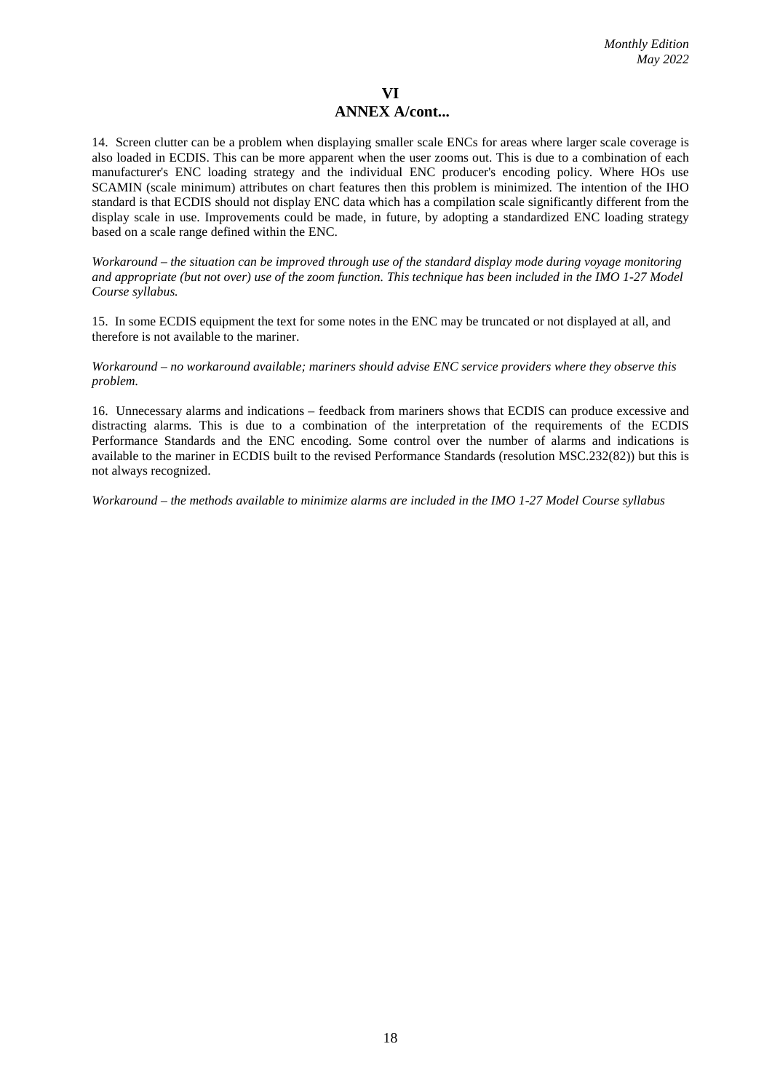14. Screen clutter can be a problem when displaying smaller scale ENCs for areas where larger scale coverage is also loaded in ECDIS. This can be more apparent when the user zooms out. This is due to a combination of each manufacturer's ENC loading strategy and the individual ENC producer's encoding policy. Where HOs use SCAMIN (scale minimum) attributes on chart features then this problem is minimized. The intention of the IHO standard is that ECDIS should not display ENC data which has a compilation scale significantly different from the display scale in use. Improvements could be made, in future, by adopting a standardized ENC loading strategy based on a scale range defined within the ENC.

*Workaround – the situation can be improved through use of the standard display mode during voyage monitoring and appropriate (but not over) use of the zoom function. This technique has been included in the IMO 1-27 Model Course syllabus.*

15. In some ECDIS equipment the text for some notes in the ENC may be truncated or not displayed at all, and therefore is not available to the mariner.

*Workaround – no workaround available; mariners should advise ENC service providers where they observe this problem.*

16. Unnecessary alarms and indications – feedback from mariners shows that ECDIS can produce excessive and distracting alarms. This is due to a combination of the interpretation of the requirements of the ECDIS Performance Standards and the ENC encoding. Some control over the number of alarms and indications is available to the mariner in ECDIS built to the revised Performance Standards (resolution MSC.232(82)) but this is not always recognized.

*Workaround – the methods available to minimize alarms are included in the IMO 1-27 Model Course syllabus*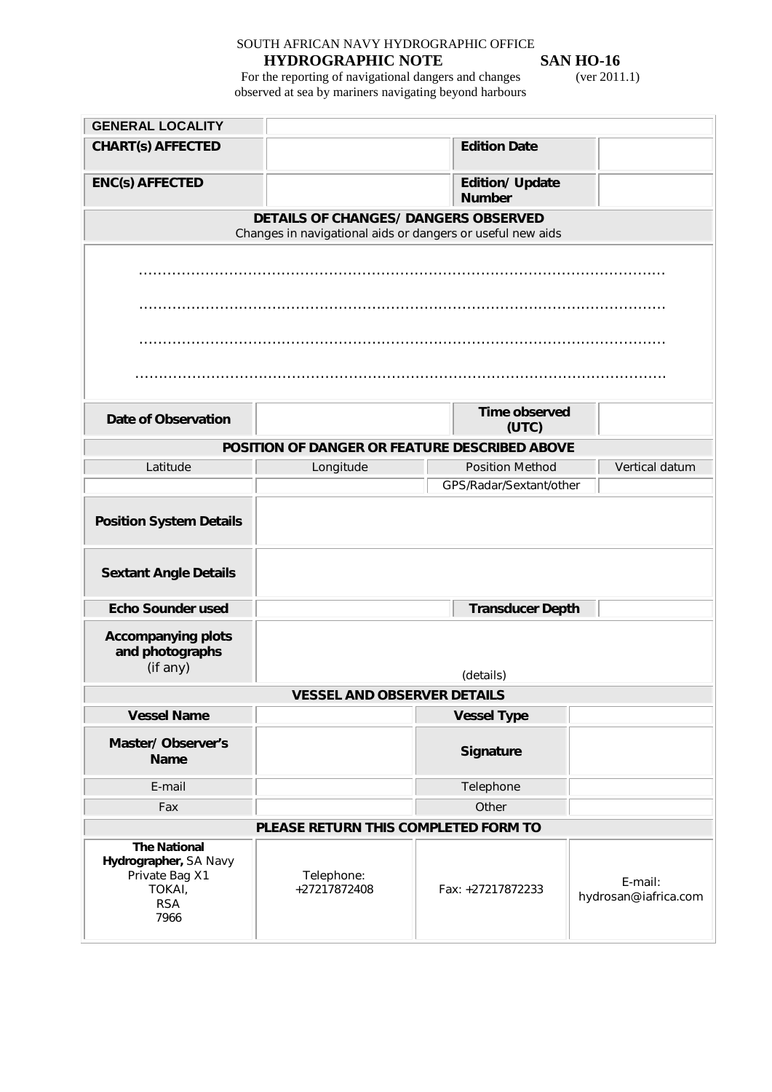# SOUTH AFRICAN NAVY HYDROGRAPHIC OFFICE

**HYDROGRAPHIC NOTE SAN HO-16**<br>the reporting of navigational dangers and changes (ver 2011.1) For the reporting of navigational dangers and changes (ver 2011.1) observed at sea by mariners navigating beyond harbours

| <b>GENERAL LOCALITY</b>                                                                        |                                                            |  |                                         |                                 |
|------------------------------------------------------------------------------------------------|------------------------------------------------------------|--|-----------------------------------------|---------------------------------|
| <b>CHART(s) AFFECTED</b>                                                                       |                                                            |  | <b>Edition Date</b>                     |                                 |
| <b>ENC(s) AFFECTED</b>                                                                         |                                                            |  | <b>Edition/ Update</b><br><b>Number</b> |                                 |
|                                                                                                | DETAILS OF CHANGES/ DANGERS OBSERVED                       |  |                                         |                                 |
|                                                                                                | Changes in navigational aids or dangers or useful new aids |  |                                         |                                 |
|                                                                                                |                                                            |  |                                         |                                 |
|                                                                                                |                                                            |  |                                         |                                 |
|                                                                                                |                                                            |  |                                         |                                 |
|                                                                                                |                                                            |  |                                         |                                 |
| <b>Date of Observation</b>                                                                     |                                                            |  | Time observed<br>(UTC)                  |                                 |
|                                                                                                | POSITION OF DANGER OR FEATURE DESCRIBED ABOVE              |  |                                         |                                 |
| Latitude                                                                                       | Longitude                                                  |  | <b>Position Method</b>                  | Vertical datum                  |
|                                                                                                |                                                            |  | GPS/Radar/Sextant/other                 |                                 |
| <b>Position System Details</b>                                                                 |                                                            |  |                                         |                                 |
| <b>Sextant Angle Details</b>                                                                   |                                                            |  |                                         |                                 |
| <b>Echo Sounder used</b>                                                                       |                                                            |  | <b>Transducer Depth</b>                 |                                 |
| <b>Accompanying plots</b><br>and photographs<br>(if any)                                       | (details)                                                  |  |                                         |                                 |
|                                                                                                | <b>VESSEL AND OBSERVER DETAILS</b>                         |  |                                         |                                 |
| <b>Vessel Name</b>                                                                             |                                                            |  | <b>Vessel Type</b>                      |                                 |
| Master/Observer's<br><b>Name</b>                                                               |                                                            |  | Signature                               |                                 |
| E-mail                                                                                         |                                                            |  | Telephone                               |                                 |
| Fax                                                                                            |                                                            |  | Other                                   |                                 |
| PLEASE RETURN THIS COMPLETED FORM TO                                                           |                                                            |  |                                         |                                 |
| <b>The National</b><br>Hydrographer, SA Navy<br>Private Bag X1<br>TOKAI,<br><b>RSA</b><br>7966 | Telephone:<br>+27217872408                                 |  | Fax: +27217872233                       | E-mail:<br>hydrosan@iafrica.com |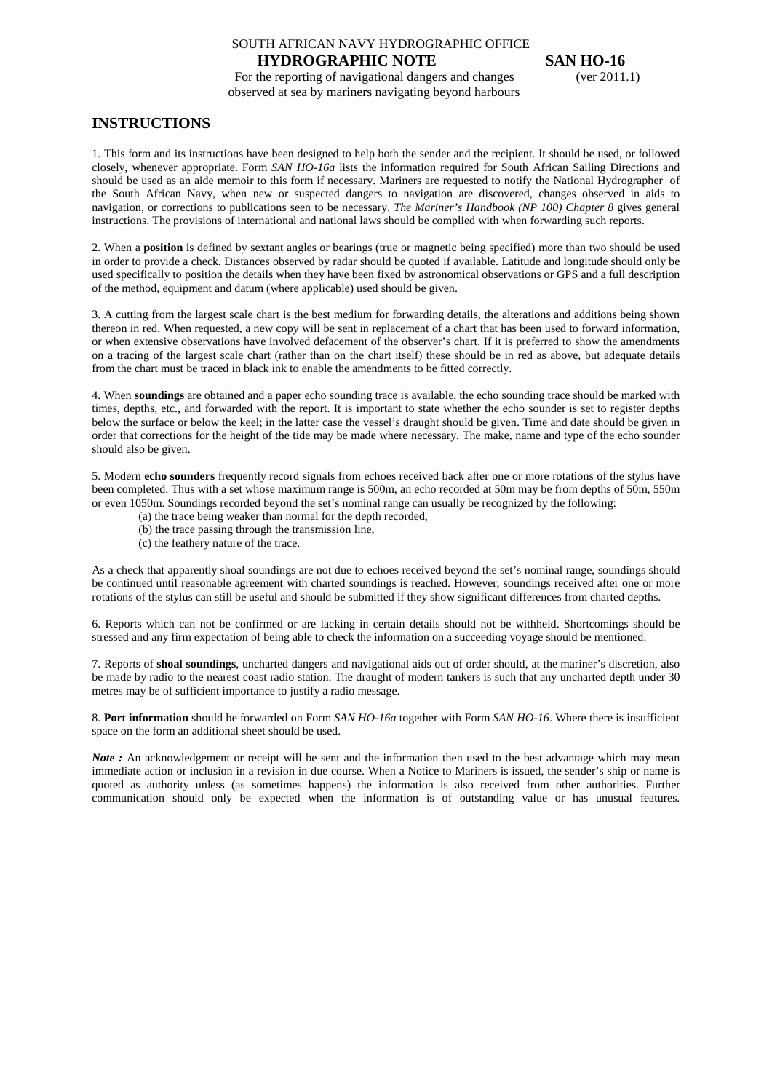# SOUTH AFRICAN NAVY HYDROGRAPHIC OFFICE

**HYDROGRAPHIC NOTE** SAN HO-16<br>the reporting of navigational dangers and changes (ver 2011.1) For the reporting of navigational dangers and changes observed at sea by mariners navigating beyond harbours

#### **INSTRUCTIONS**

1. This form and its instructions have been designed to help both the sender and the recipient. It should be used, or followed closely, whenever appropriate. Form *SAN HO-16a* lists the information required for South African Sailing Directions and should be used as an aide memoir to this form if necessary. Mariners are requested to notify the National Hydrographer of the South African Navy, when new or suspected dangers to navigation are discovered, changes observed in aids to navigation, or corrections to publications seen to be necessary. *The Mariner's Handbook (NP 100) Chapter 8* gives general instructions. The provisions of international and national laws should be complied with when forwarding such reports.

2. When a **position** is defined by sextant angles or bearings (true or magnetic being specified) more than two should be used in order to provide a check. Distances observed by radar should be quoted if available. Latitude and longitude should only be used specifically to position the details when they have been fixed by astronomical observations or GPS and a full description of the method, equipment and datum (where applicable) used should be given.

3. A cutting from the largest scale chart is the best medium for forwarding details, the alterations and additions being shown thereon in red. When requested, a new copy will be sent in replacement of a chart that has been used to forward information, or when extensive observations have involved defacement of the observer's chart. If it is preferred to show the amendments on a tracing of the largest scale chart (rather than on the chart itself) these should be in red as above, but adequate details from the chart must be traced in black ink to enable the amendments to be fitted correctly.

4. When **soundings** are obtained and a paper echo sounding trace is available, the echo sounding trace should be marked with times, depths, etc., and forwarded with the report. It is important to state whether the echo sounder is set to register depths below the surface or below the keel; in the latter case the vessel's draught should be given. Time and date should be given in order that corrections for the height of the tide may be made where necessary. The make, name and type of the echo sounder should also be given.

5. Modern **echo sounders** frequently record signals from echoes received back after one or more rotations of the stylus have been completed. Thus with a set whose maximum range is 500m, an echo recorded at 50m may be from depths of 50m, 550m or even 1050m. Soundings recorded beyond the set's nominal range can usually be recognized by the following:

- (a) the trace being weaker than normal for the depth recorded,
- (b) the trace passing through the transmission line,
- (c) the feathery nature of the trace.

As a check that apparently shoal soundings are not due to echoes received beyond the set's nominal range, soundings should be continued until reasonable agreement with charted soundings is reached. However, soundings received after one or more rotations of the stylus can still be useful and should be submitted if they show significant differences from charted depths.

6. Reports which can not be confirmed or are lacking in certain details should not be withheld. Shortcomings should be stressed and any firm expectation of being able to check the information on a succeeding voyage should be mentioned.

7. Reports of **shoal soundings**, uncharted dangers and navigational aids out of order should, at the mariner's discretion, also be made by radio to the nearest coast radio station. The draught of modern tankers is such that any uncharted depth under 30 metres may be of sufficient importance to justify a radio message.

8. **Port information** should be forwarded on Form *SAN HO-16a* together with Form *SAN HO-16*. Where there is insufficient space on the form an additional sheet should be used.

*Note*: An acknowledgement or receipt will be sent and the information then used to the best advantage which may mean immediate action or inclusion in a revision in due course. When a Notice to Mariners is issued, the sender's ship or name is quoted as authority unless (as sometimes happens) the information is also received from other authorities. Further communication should only be expected when the information is of outstanding value or has unusual features.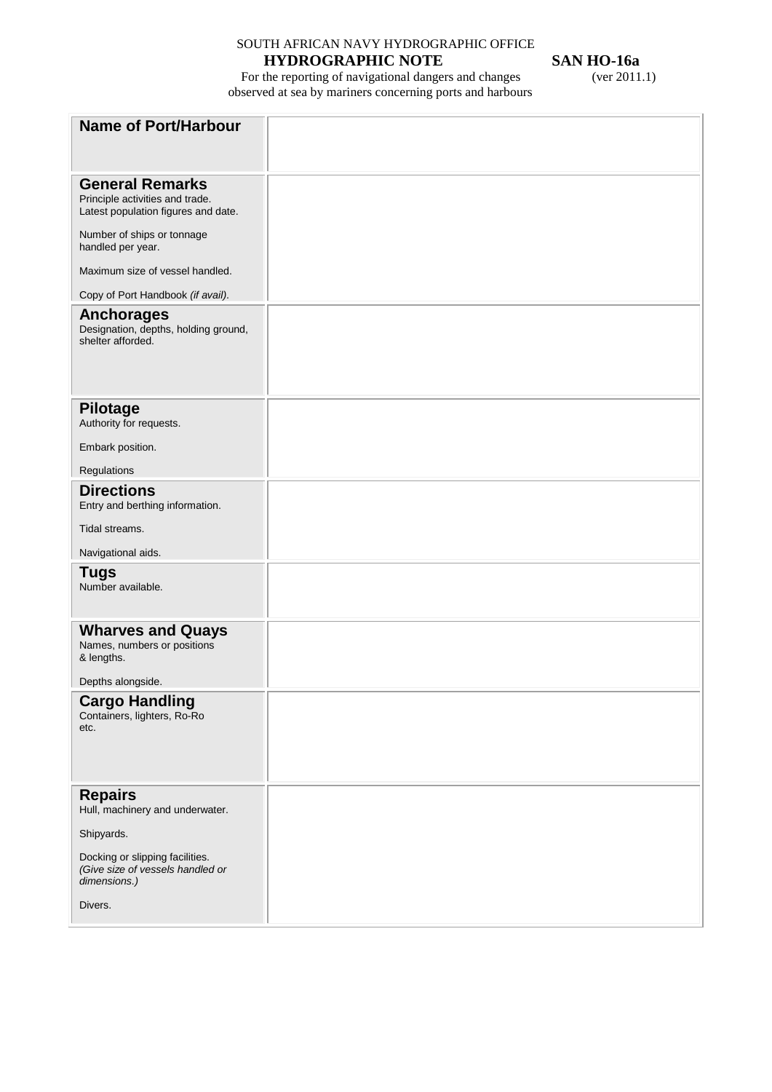# SOUTH AFRICAN NAVY HYDROGRAPHIC OFFICE

# **HYDROGRAPHIC NOTE** SAN HO-16a<br>the reporting of navigational dangers and changes (ver 2011.1)

For the reporting of navigational dangers and changes (ver 2011.1) observed at sea by mariners concerning ports and harbours

| <b>Name of Port/Harbour</b>                                                                      |  |
|--------------------------------------------------------------------------------------------------|--|
|                                                                                                  |  |
|                                                                                                  |  |
| <b>General Remarks</b><br>Principle activities and trade.<br>Latest population figures and date. |  |
| Number of ships or tonnage<br>handled per year.                                                  |  |
| Maximum size of vessel handled.                                                                  |  |
| Copy of Port Handbook (if avail).                                                                |  |
| <b>Anchorages</b><br>Designation, depths, holding ground,<br>shelter afforded.                   |  |
| <b>Pilotage</b>                                                                                  |  |
| Authority for requests.                                                                          |  |
| Embark position.                                                                                 |  |
| Regulations                                                                                      |  |
| <b>Directions</b><br>Entry and berthing information.                                             |  |
| Tidal streams.                                                                                   |  |
| Navigational aids.                                                                               |  |
| <b>Tugs</b><br>Number available.                                                                 |  |
| <b>Wharves and Quays</b><br>Names, numbers or positions                                          |  |
| & lengths.                                                                                       |  |
| Depths alongside.                                                                                |  |
| <b>Cargo Handling</b><br>Containers, lighters, Ro-Ro<br>etc.                                     |  |
|                                                                                                  |  |
| <b>Repairs</b><br>Hull, machinery and underwater.                                                |  |
| Shipyards.                                                                                       |  |
| Docking or slipping facilities.<br>(Give size of vessels handled or<br>dimensions.)              |  |
| Divers.                                                                                          |  |